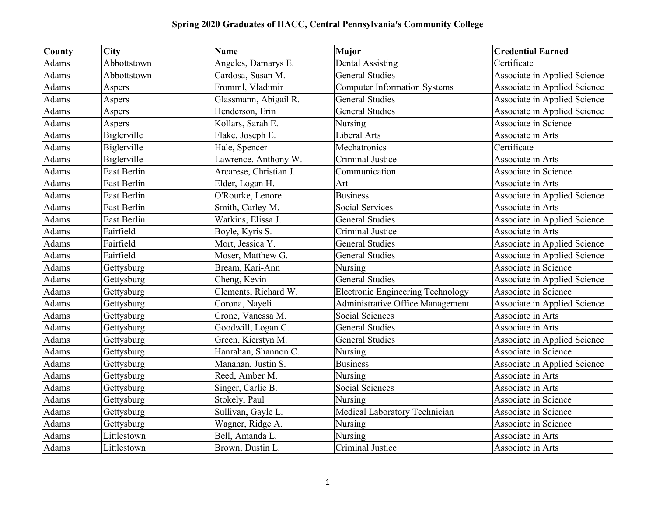| County | City        | <b>Name</b>            | Major                                    | <b>Credential Earned</b>     |
|--------|-------------|------------------------|------------------------------------------|------------------------------|
| Adams  | Abbottstown | Angeles, Damarys E.    | <b>Dental Assisting</b>                  | Certificate                  |
| Adams  | Abbottstown | Cardosa, Susan M.      | <b>General Studies</b>                   | Associate in Applied Science |
| Adams  | Aspers      | Fromml, Vladimir       | <b>Computer Information Systems</b>      | Associate in Applied Science |
| Adams  | Aspers      | Glassmann, Abigail R.  | <b>General Studies</b>                   | Associate in Applied Science |
| Adams  | Aspers      | Henderson, Erin        | <b>General Studies</b>                   | Associate in Applied Science |
| Adams  | Aspers      | Kollars, Sarah E.      | Nursing                                  | Associate in Science         |
| Adams  | Biglerville | Flake, Joseph E.       | Liberal Arts                             | Associate in Arts            |
| Adams  | Biglerville | Hale, Spencer          | Mechatronics                             | Certificate                  |
| Adams  | Biglerville | Lawrence, Anthony W.   | Criminal Justice                         | Associate in Arts            |
| Adams  | East Berlin | Arcarese, Christian J. | Communication                            | <b>Associate in Science</b>  |
| Adams  | East Berlin | Elder, Logan H.        | Art                                      | Associate in Arts            |
| Adams  | East Berlin | O'Rourke, Lenore       | <b>Business</b>                          | Associate in Applied Science |
| Adams  | East Berlin | Smith, Carley M.       | <b>Social Services</b>                   | Associate in Arts            |
| Adams  | East Berlin | Watkins, Elissa J.     | <b>General Studies</b>                   | Associate in Applied Science |
| Adams  | Fairfield   | Boyle, Kyris S.        | Criminal Justice                         | Associate in Arts            |
| Adams  | Fairfield   | Mort, Jessica Y.       | <b>General Studies</b>                   | Associate in Applied Science |
| Adams  | Fairfield   | Moser, Matthew G.      | <b>General Studies</b>                   | Associate in Applied Science |
| Adams  | Gettysburg  | Bream, Kari-Ann        | Nursing                                  | Associate in Science         |
| Adams  | Gettysburg  | Cheng, Kevin           | General Studies                          | Associate in Applied Science |
| Adams  | Gettysburg  | Clements, Richard W.   | <b>Electronic Engineering Technology</b> | Associate in Science         |
| Adams  | Gettysburg  | Corona, Nayeli         | Administrative Office Management         | Associate in Applied Science |
| Adams  | Gettysburg  | Crone, Vanessa M.      | Social Sciences                          | Associate in Arts            |
| Adams  | Gettysburg  | Goodwill, Logan C.     | <b>General Studies</b>                   | Associate in Arts            |
| Adams  | Gettysburg  | Green, Kierstyn M.     | <b>General Studies</b>                   | Associate in Applied Science |
| Adams  | Gettysburg  | Hanrahan, Shannon C.   | Nursing                                  | Associate in Science         |
| Adams  | Gettysburg  | Manahan, Justin S.     | <b>Business</b>                          | Associate in Applied Science |
| Adams  | Gettysburg  | Reed, Amber M.         | Nursing                                  | Associate in Arts            |
| Adams  | Gettysburg  | Singer, Carlie B.      | Social Sciences                          | Associate in Arts            |
| Adams  | Gettysburg  | Stokely, Paul          | Nursing                                  | Associate in Science         |
| Adams  | Gettysburg  | Sullivan, Gayle L.     | Medical Laboratory Technician            | Associate in Science         |
| Adams  | Gettysburg  | Wagner, Ridge A.       | Nursing                                  | Associate in Science         |
| Adams  | Littlestown | Bell, Amanda L.        | Nursing                                  | Associate in Arts            |
| Adams  | Littlestown | Brown, Dustin L.       | Criminal Justice                         | Associate in Arts            |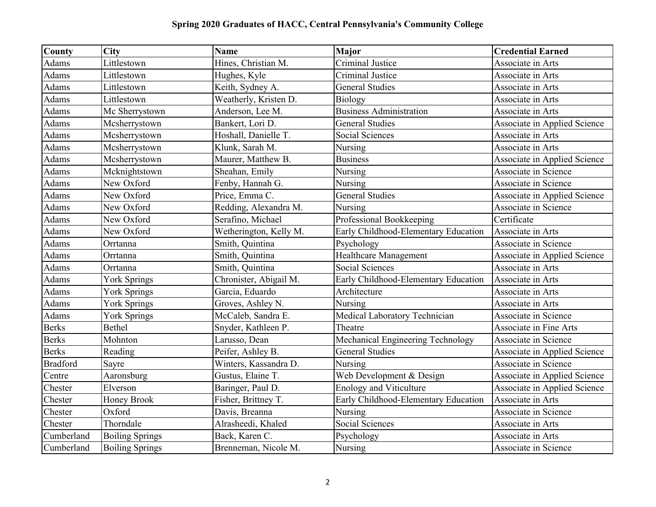| County          | City                   | <b>Name</b>            | Major                                | <b>Credential Earned</b>     |
|-----------------|------------------------|------------------------|--------------------------------------|------------------------------|
| Adams           | Littlestown            | Hines, Christian M.    | Criminal Justice                     | Associate in Arts            |
| Adams           | Littlestown            | Hughes, Kyle           | Criminal Justice                     | Associate in Arts            |
| Adams           | Littlestown            | Keith, Sydney A.       | <b>General Studies</b>               | Associate in Arts            |
| Adams           | Littlestown            | Weatherly, Kristen D.  | <b>Biology</b>                       | Associate in Arts            |
| Adams           | Mc Sherrystown         | Anderson, Lee M.       | <b>Business Administration</b>       | Associate in Arts            |
| Adams           | Mcsherrystown          | Bankert, Lori D.       | <b>General Studies</b>               | Associate in Applied Science |
| Adams           | Mcsherrystown          | Hoshall, Danielle T.   | Social Sciences                      | Associate in Arts            |
| Adams           | Mcsherrystown          | Klunk, Sarah M.        | Nursing                              | Associate in Arts            |
| Adams           | Mcsherrystown          | Maurer, Matthew B.     | <b>Business</b>                      | Associate in Applied Science |
| Adams           | Mcknightstown          | Sheahan, Emily         | Nursing                              | Associate in Science         |
| Adams           | New Oxford             | Fenby, Hannah G.       | Nursing                              | Associate in Science         |
| Adams           | New Oxford             | Price, Emma C.         | <b>General Studies</b>               | Associate in Applied Science |
| Adams           | New Oxford             | Redding, Alexandra M.  | Nursing                              | Associate in Science         |
| Adams           | New Oxford             | Serafino, Michael      | Professional Bookkeeping             | Certificate                  |
| Adams           | New Oxford             | Wetherington, Kelly M. | Early Childhood-Elementary Education | Associate in Arts            |
| Adams           | Orrtanna               | Smith, Quintina        | Psychology                           | Associate in Science         |
| Adams           | Orrtanna               | Smith, Quintina        | Healthcare Management                | Associate in Applied Science |
| Adams           | Orrtanna               | Smith, Quintina        | Social Sciences                      | Associate in Arts            |
| Adams           | <b>York Springs</b>    | Chronister, Abigail M. | Early Childhood-Elementary Education | Associate in Arts            |
| Adams           | York Springs           | Garcia, Eduardo        | Architecture                         | Associate in Arts            |
| Adams           | <b>York Springs</b>    | Groves, Ashley N.      | Nursing                              | Associate in Arts            |
| Adams           | <b>York Springs</b>    | McCaleb, Sandra E.     | Medical Laboratory Technician        | Associate in Science         |
| <b>Berks</b>    | <b>Bethel</b>          | Snyder, Kathleen P.    | Theatre                              | Associate in Fine Arts       |
| <b>Berks</b>    | Mohnton                | Larusso, Dean          | Mechanical Engineering Technology    | Associate in Science         |
| <b>Berks</b>    | Reading                | Peifer, Ashley B.      | <b>General Studies</b>               | Associate in Applied Science |
| <b>Bradford</b> | Sayre                  | Winters, Kassandra D.  | Nursing                              | Associate in Science         |
| Centre          | Aaronsburg             | Gustus, Elaine T.      | Web Development & Design             | Associate in Applied Science |
| Chester         | Elverson               | Baringer, Paul D.      | <b>Enology and Viticulture</b>       | Associate in Applied Science |
| Chester         | Honey Brook            | Fisher, Brittney T.    | Early Childhood-Elementary Education | Associate in Arts            |
| Chester         | Oxford                 | Davis, Breanna         | Nursing                              | Associate in Science         |
| Chester         | Thorndale              | Alrasheedi, Khaled     | Social Sciences                      | Associate in Arts            |
| Cumberland      | <b>Boiling Springs</b> | Back, Karen C.         | Psychology                           | Associate in Arts            |
| Cumberland      | <b>Boiling Springs</b> | Brenneman, Nicole M.   | Nursing                              | Associate in Science         |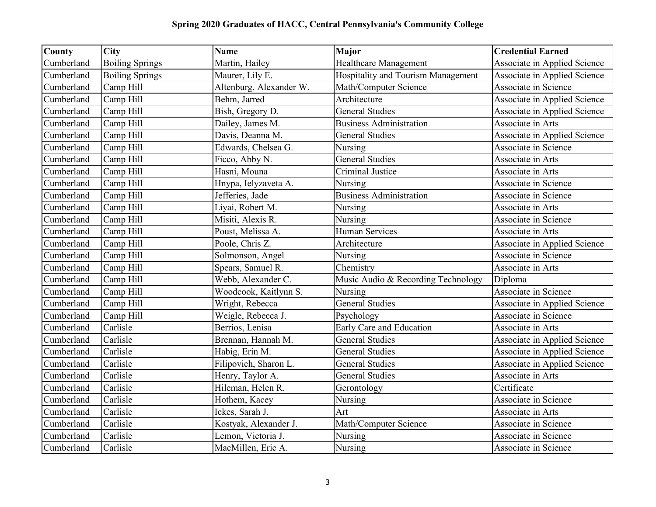| County     | <b>City</b>            | <b>Name</b>             | <b>Major</b>                       | <b>Credential Earned</b>     |
|------------|------------------------|-------------------------|------------------------------------|------------------------------|
| Cumberland | <b>Boiling Springs</b> | Martin, Hailey          | Healthcare Management              | Associate in Applied Science |
| Cumberland | <b>Boiling Springs</b> | Maurer, Lily E.         | Hospitality and Tourism Management | Associate in Applied Science |
| Cumberland | Camp Hill              | Altenburg, Alexander W. | Math/Computer Science              | Associate in Science         |
| Cumberland | Camp Hill              | Behm, Jarred            | Architecture                       | Associate in Applied Science |
| Cumberland | Camp Hill              | Bish, Gregory D.        | <b>General Studies</b>             | Associate in Applied Science |
| Cumberland | Camp Hill              | Dailey, James M.        | <b>Business Administration</b>     | Associate in Arts            |
| Cumberland | Camp Hill              | Davis, Deanna M.        | <b>General Studies</b>             | Associate in Applied Science |
| Cumberland | Camp Hill              | Edwards, Chelsea G.     | Nursing                            | Associate in Science         |
| Cumberland | Camp Hill              | Ficco, Abby N.          | <b>General Studies</b>             | Associate in Arts            |
| Cumberland | Camp Hill              | Hasni, Mouna            | Criminal Justice                   | Associate in Arts            |
| Cumberland | Camp Hill              | Hnypa, Ielyzaveta A.    | Nursing                            | Associate in Science         |
| Cumberland | Camp Hill              | Jefferies, Jade         | <b>Business Administration</b>     | Associate in Science         |
| Cumberland | Camp Hill              | Liyai, Robert M.        | Nursing                            | Associate in Arts            |
| Cumberland | Camp Hill              | Misiti, Alexis R.       | Nursing                            | Associate in Science         |
| Cumberland | Camp Hill              | Poust, Melissa A.       | Human Services                     | Associate in Arts            |
| Cumberland | Camp Hill              | Poole, Chris Z.         | Architecture                       | Associate in Applied Science |
| Cumberland | Camp Hill              | Solmonson, Angel        | Nursing                            | Associate in Science         |
| Cumberland | Camp Hill              | Spears, Samuel R.       | Chemistry                          | Associate in Arts            |
| Cumberland | Camp Hill              | Webb, Alexander C.      | Music Audio & Recording Technology | Diploma                      |
| Cumberland | Camp Hill              | Woodcook, Kaitlynn S.   | Nursing                            | Associate in Science         |
| Cumberland | Camp Hill              | Wright, Rebecca         | <b>General Studies</b>             | Associate in Applied Science |
| Cumberland | Camp Hill              | Weigle, Rebecca J.      | Psychology                         | Associate in Science         |
| Cumberland | Carlisle               | Berrios, Lenisa         | Early Care and Education           | Associate in Arts            |
| Cumberland | Carlisle               | Brennan, Hannah M.      | <b>General Studies</b>             | Associate in Applied Science |
| Cumberland | Carlisle               | Habig, Erin M.          | <b>General Studies</b>             | Associate in Applied Science |
| Cumberland | Carlisle               | Filipovich, Sharon L.   | <b>General Studies</b>             | Associate in Applied Science |
| Cumberland | Carlisle               | Henry, Taylor A.        | <b>General Studies</b>             | Associate in Arts            |
| Cumberland | Carlisle               | Hileman, Helen R.       | Gerontology                        | Certificate                  |
| Cumberland | Carlisle               | Hothem, Kacey           | Nursing                            | Associate in Science         |
| Cumberland | Carlisle               | Ickes, Sarah J.         | Art                                | Associate in Arts            |
| Cumberland | Carlisle               | Kostyak, Alexander J.   | Math/Computer Science              | Associate in Science         |
| Cumberland | Carlisle               | Lemon, Victoria J.      | Nursing                            | Associate in Science         |
| Cumberland | Carlisle               | MacMillen, Eric A.      | Nursing                            | Associate in Science         |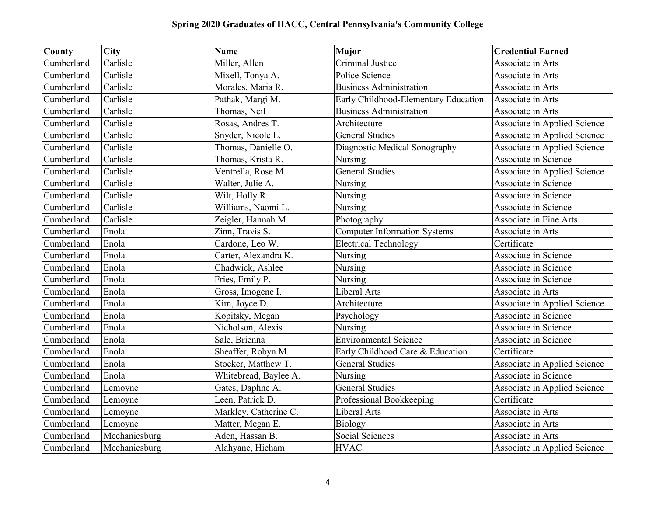| County     | <b>City</b>   | <b>Name</b>           | Major                                | <b>Credential Earned</b>     |
|------------|---------------|-----------------------|--------------------------------------|------------------------------|
| Cumberland | Carlisle      | Miller, Allen         | Criminal Justice                     | Associate in Arts            |
| Cumberland | Carlisle      | Mixell, Tonya A.      | Police Science                       | Associate in Arts            |
| Cumberland | Carlisle      | Morales, Maria R.     | <b>Business Administration</b>       | Associate in Arts            |
| Cumberland | Carlisle      | Pathak, Margi M.      | Early Childhood-Elementary Education | Associate in Arts            |
| Cumberland | Carlisle      | Thomas, Neil          | <b>Business Administration</b>       | Associate in Arts            |
| Cumberland | Carlisle      | Rosas, Andres T.      | Architecture                         | Associate in Applied Science |
| Cumberland | Carlisle      | Snyder, Nicole L.     | <b>General Studies</b>               | Associate in Applied Science |
| Cumberland | Carlisle      | Thomas, Danielle O.   | Diagnostic Medical Sonography        | Associate in Applied Science |
| Cumberland | Carlisle      | Thomas, Krista R.     | Nursing                              | Associate in Science         |
| Cumberland | Carlisle      | Ventrella, Rose M.    | <b>General Studies</b>               | Associate in Applied Science |
| Cumberland | Carlisle      | Walter, Julie A.      | Nursing                              | Associate in Science         |
| Cumberland | Carlisle      | Wilt, Holly R.        | Nursing                              | Associate in Science         |
| Cumberland | Carlisle      | Williams, Naomi L.    | Nursing                              | <b>Associate in Science</b>  |
| Cumberland | Carlisle      | Zeigler, Hannah M.    | Photography                          | Associate in Fine Arts       |
| Cumberland | Enola         | Zinn, Travis S.       | <b>Computer Information Systems</b>  | Associate in Arts            |
| Cumberland | Enola         | Cardone, Leo W.       | <b>Electrical Technology</b>         | Certificate                  |
| Cumberland | Enola         | Carter, Alexandra K.  | Nursing                              | Associate in Science         |
| Cumberland | Enola         | Chadwick, Ashlee      | Nursing                              | Associate in Science         |
| Cumberland | Enola         | Fries, Emily P.       | Nursing                              | Associate in Science         |
| Cumberland | Enola         | Gross, Imogene I.     | Liberal Arts                         | Associate in Arts            |
| Cumberland | Enola         | Kim, Joyce D.         | Architecture                         | Associate in Applied Science |
| Cumberland | Enola         | Kopitsky, Megan       | Psychology                           | <b>Associate in Science</b>  |
| Cumberland | Enola         | Nicholson, Alexis     | Nursing                              | Associate in Science         |
| Cumberland | Enola         | Sale, Brienna         | Environmental Science                | Associate in Science         |
| Cumberland | Enola         | Sheaffer, Robyn M.    | Early Childhood Care & Education     | Certificate                  |
| Cumberland | Enola         | Stocker, Matthew T.   | <b>General Studies</b>               | Associate in Applied Science |
| Cumberland | Enola         | Whitebread, Baylee A. | Nursing                              | Associate in Science         |
| Cumberland | Lemoyne       | Gates, Daphne A.      | <b>General Studies</b>               | Associate in Applied Science |
| Cumberland | Lemoyne       | Leen, Patrick D.      | Professional Bookkeeping             | Certificate                  |
| Cumberland | Lemoyne       | Markley, Catherine C. | Liberal Arts                         | Associate in Arts            |
| Cumberland | Lemoyne       | Matter, Megan E.      | <b>Biology</b>                       | Associate in Arts            |
| Cumberland | Mechanicsburg | Aden, Hassan B.       | Social Sciences                      | Associate in Arts            |
| Cumberland | Mechanicsburg | Alahyane, Hicham      | <b>HVAC</b>                          | Associate in Applied Science |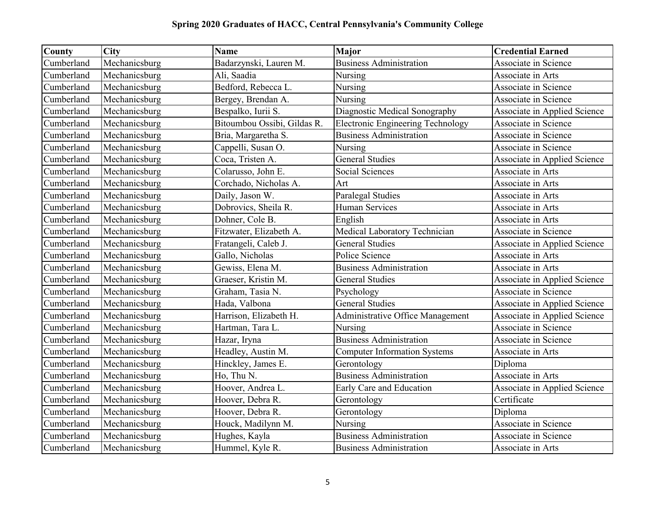| <b>County</b> | <b>City</b>   | <b>Name</b>                 | <b>Major</b>                             | <b>Credential Earned</b>     |
|---------------|---------------|-----------------------------|------------------------------------------|------------------------------|
| Cumberland    | Mechanicsburg | Badarzynski, Lauren M.      | <b>Business Administration</b>           | Associate in Science         |
| Cumberland    | Mechanicsburg | Ali, Saadia                 | Nursing                                  | Associate in Arts            |
| Cumberland    | Mechanicsburg | Bedford, Rebecca L.         | Nursing                                  | Associate in Science         |
| Cumberland    | Mechanicsburg | Bergey, Brendan A.          | Nursing                                  | <b>Associate in Science</b>  |
| Cumberland    | Mechanicsburg | Bespalko, Iurii S.          | Diagnostic Medical Sonography            | Associate in Applied Science |
| Cumberland    | Mechanicsburg | Bitoumbou Ossibi, Gildas R. | <b>Electronic Engineering Technology</b> | Associate in Science         |
| Cumberland    | Mechanicsburg | Bria, Margaretha S.         | <b>Business Administration</b>           | Associate in Science         |
| Cumberland    | Mechanicsburg | Cappelli, Susan O.          | Nursing                                  | Associate in Science         |
| Cumberland    | Mechanicsburg | Coca, Tristen A.            | <b>General Studies</b>                   | Associate in Applied Science |
| Cumberland    | Mechanicsburg | Colarusso, John E.          | <b>Social Sciences</b>                   | Associate in Arts            |
| Cumberland    | Mechanicsburg | Corchado, Nicholas A.       | Art                                      | Associate in Arts            |
| Cumberland    | Mechanicsburg | Daily, Jason W.             | Paralegal Studies                        | Associate in Arts            |
| Cumberland    | Mechanicsburg | Dobrovics, Sheila R.        | Human Services                           | Associate in Arts            |
| Cumberland    | Mechanicsburg | Dohner, Cole B.             | English                                  | Associate in Arts            |
| Cumberland    | Mechanicsburg | Fitzwater, Elizabeth A.     | Medical Laboratory Technician            | <b>Associate in Science</b>  |
| Cumberland    | Mechanicsburg | Fratangeli, Caleb J.        | <b>General Studies</b>                   | Associate in Applied Science |
| Cumberland    | Mechanicsburg | Gallo, Nicholas             | Police Science                           | Associate in Arts            |
| Cumberland    | Mechanicsburg | Gewiss, Elena M.            | <b>Business Administration</b>           | Associate in Arts            |
| Cumberland    | Mechanicsburg | Graeser, Kristin M.         | <b>General Studies</b>                   | Associate in Applied Science |
| Cumberland    | Mechanicsburg | Graham, Tasia N.            | Psychology                               | Associate in Science         |
| Cumberland    | Mechanicsburg | Hada, Valbona               | <b>General Studies</b>                   | Associate in Applied Science |
| Cumberland    | Mechanicsburg | Harrison, Elizabeth H.      | Administrative Office Management         | Associate in Applied Science |
| Cumberland    | Mechanicsburg | Hartman, Tara L.            | Nursing                                  | Associate in Science         |
| Cumberland    | Mechanicsburg | Hazar, Iryna                | <b>Business Administration</b>           | Associate in Science         |
| Cumberland    | Mechanicsburg | Headley, Austin M.          | <b>Computer Information Systems</b>      | Associate in Arts            |
| Cumberland    | Mechanicsburg | Hinckley, James E.          | Gerontology                              | Diploma                      |
| Cumberland    | Mechanicsburg | Ho, Thu N.                  | <b>Business Administration</b>           | Associate in Arts            |
| Cumberland    | Mechanicsburg | Hoover, Andrea L.           | Early Care and Education                 | Associate in Applied Science |
| Cumberland    | Mechanicsburg | Hoover, Debra R.            | Gerontology                              | Certificate                  |
| Cumberland    | Mechanicsburg | Hoover, Debra R.            | Gerontology                              | Diploma                      |
| Cumberland    | Mechanicsburg | Houck, Madilynn M.          | Nursing                                  | Associate in Science         |
| Cumberland    | Mechanicsburg | Hughes, Kayla               | <b>Business Administration</b>           | Associate in Science         |
| Cumberland    | Mechanicsburg | Hummel, Kyle R.             | <b>Business Administration</b>           | Associate in Arts            |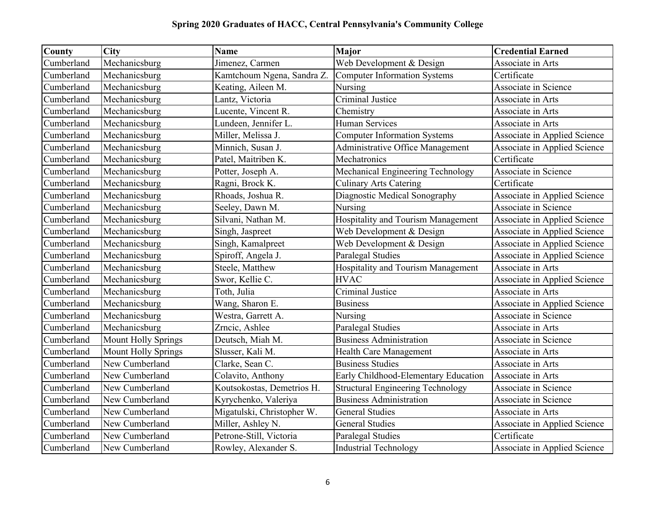| County     | <b>City</b>                | <b>Name</b>                | <b>Major</b>                             | <b>Credential Earned</b>     |
|------------|----------------------------|----------------------------|------------------------------------------|------------------------------|
| Cumberland | Mechanicsburg              | Jimenez, Carmen            | Web Development & Design                 | Associate in Arts            |
| Cumberland | Mechanicsburg              | Kamtchoum Ngena, Sandra Z. | <b>Computer Information Systems</b>      | Certificate                  |
| Cumberland | Mechanicsburg              | Keating, Aileen M.         | Nursing                                  | Associate in Science         |
| Cumberland | Mechanicsburg              | Lantz, Victoria            | Criminal Justice                         | Associate in Arts            |
| Cumberland | Mechanicsburg              | Lucente, Vincent R.        | Chemistry                                | Associate in Arts            |
| Cumberland | Mechanicsburg              | Lundeen, Jennifer L.       | <b>Human Services</b>                    | Associate in Arts            |
| Cumberland | Mechanicsburg              | Miller, Melissa J.         | <b>Computer Information Systems</b>      | Associate in Applied Science |
| Cumberland | Mechanicsburg              | Minnich, Susan J.          | Administrative Office Management         | Associate in Applied Science |
| Cumberland | Mechanicsburg              | Patel, Maitriben K.        | Mechatronics                             | Certificate                  |
| Cumberland | Mechanicsburg              | Potter, Joseph A.          | Mechanical Engineering Technology        | Associate in Science         |
| Cumberland | Mechanicsburg              | Ragni, Brock K.            | <b>Culinary Arts Catering</b>            | Certificate                  |
| Cumberland | Mechanicsburg              | Rhoads, Joshua R.          | Diagnostic Medical Sonography            | Associate in Applied Science |
| Cumberland | Mechanicsburg              | Seeley, Dawn M.            | Nursing                                  | Associate in Science         |
| Cumberland | Mechanicsburg              | Silvani, Nathan M.         | Hospitality and Tourism Management       | Associate in Applied Science |
| Cumberland | Mechanicsburg              | Singh, Jaspreet            | Web Development & Design                 | Associate in Applied Science |
| Cumberland | Mechanicsburg              | Singh, Kamalpreet          | Web Development & Design                 | Associate in Applied Science |
| Cumberland | Mechanicsburg              | Spiroff, Angela J.         | Paralegal Studies                        | Associate in Applied Science |
| Cumberland | Mechanicsburg              | Steele, Matthew            | Hospitality and Tourism Management       | Associate in Arts            |
| Cumberland | Mechanicsburg              | Swor, Kellie C.            | <b>HVAC</b>                              | Associate in Applied Science |
| Cumberland | Mechanicsburg              | Toth, Julia                | Criminal Justice                         | Associate in Arts            |
| Cumberland | Mechanicsburg              | Wang, Sharon E.            | <b>Business</b>                          | Associate in Applied Science |
| Cumberland | Mechanicsburg              | Westra, Garrett A.         | Nursing                                  | Associate in Science         |
| Cumberland | Mechanicsburg              | Zrncic, Ashlee             | Paralegal Studies                        | Associate in Arts            |
| Cumberland | <b>Mount Holly Springs</b> | Deutsch, Miah M.           | <b>Business Administration</b>           | Associate in Science         |
| Cumberland | <b>Mount Holly Springs</b> | Slusser, Kali M.           | <b>Health Care Management</b>            | Associate in Arts            |
| Cumberland | New Cumberland             | Clarke, Sean C.            | <b>Business Studies</b>                  | Associate in Arts            |
| Cumberland | New Cumberland             | Colavito, Anthony          | Early Childhood-Elementary Education     | Associate in Arts            |
| Cumberland | New Cumberland             | Koutsokostas, Demetrios H. | <b>Structural Engineering Technology</b> | Associate in Science         |
| Cumberland | New Cumberland             | Kyrychenko, Valeriya       | <b>Business Administration</b>           | Associate in Science         |
| Cumberland | New Cumberland             | Migatulski, Christopher W. | <b>General Studies</b>                   | Associate in Arts            |
| Cumberland | New Cumberland             | Miller, Ashley N.          | <b>General Studies</b>                   | Associate in Applied Science |
| Cumberland | New Cumberland             | Petrone-Still, Victoria    | Paralegal Studies                        | Certificate                  |
| Cumberland | New Cumberland             | Rowley, Alexander S.       | <b>Industrial Technology</b>             | Associate in Applied Science |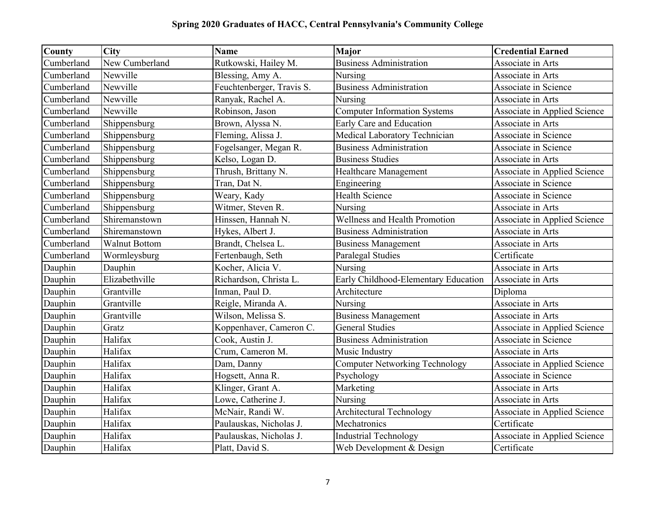| County     | <b>City</b>          | <b>Name</b>               | <b>Major</b>                          | <b>Credential Earned</b>     |
|------------|----------------------|---------------------------|---------------------------------------|------------------------------|
| Cumberland | New Cumberland       | Rutkowski, Hailey M.      | <b>Business Administration</b>        | Associate in Arts            |
| Cumberland | Newville             | Blessing, Amy A.          | Nursing                               | Associate in Arts            |
| Cumberland | Newville             | Feuchtenberger, Travis S. | <b>Business Administration</b>        | Associate in Science         |
| Cumberland | Newville             | Ranyak, Rachel A.         | Nursing                               | Associate in Arts            |
| Cumberland | Newville             | Robinson, Jason           | <b>Computer Information Systems</b>   | Associate in Applied Science |
| Cumberland | Shippensburg         | Brown, Alyssa N.          | Early Care and Education              | Associate in Arts            |
| Cumberland | Shippensburg         | Fleming, Alissa J.        | Medical Laboratory Technician         | Associate in Science         |
| Cumberland | Shippensburg         | Fogelsanger, Megan R.     | <b>Business Administration</b>        | Associate in Science         |
| Cumberland | Shippensburg         | Kelso, Logan D.           | <b>Business Studies</b>               | Associate in Arts            |
| Cumberland | Shippensburg         | Thrush, Brittany N.       | Healthcare Management                 | Associate in Applied Science |
| Cumberland | Shippensburg         | Tran, Dat N.              | Engineering                           | Associate in Science         |
| Cumberland | Shippensburg         | Weary, Kady               | <b>Health Science</b>                 | Associate in Science         |
| Cumberland | Shippensburg         | Witmer, Steven R.         | Nursing                               | Associate in Arts            |
| Cumberland | Shiremanstown        | Hinssen, Hannah N.        | <b>Wellness and Health Promotion</b>  | Associate in Applied Science |
| Cumberland | Shiremanstown        | Hykes, Albert J.          | <b>Business Administration</b>        | Associate in Arts            |
| Cumberland | <b>Walnut Bottom</b> | Brandt, Chelsea L.        | <b>Business Management</b>            | Associate in Arts            |
| Cumberland | Wormleysburg         | Fertenbaugh, Seth         | Paralegal Studies                     | Certificate                  |
| Dauphin    | Dauphin              | Kocher, Alicia V.         | Nursing                               | Associate in Arts            |
| Dauphin    | Elizabethville       | Richardson, Christa L.    | Early Childhood-Elementary Education  | Associate in Arts            |
| Dauphin    | Grantville           | Inman, Paul D.            | Architecture                          | Diploma                      |
| Dauphin    | Grantville           | Reigle, Miranda A.        | Nursing                               | Associate in Arts            |
| Dauphin    | Grantville           | Wilson, Melissa S.        | Business Management                   | Associate in Arts            |
| Dauphin    | Gratz                | Koppenhaver, Cameron C.   | <b>General Studies</b>                | Associate in Applied Science |
| Dauphin    | Halifax              | Cook, Austin J.           | <b>Business Administration</b>        | Associate in Science         |
| Dauphin    | Halifax              | Crum, Cameron M.          | Music Industry                        | Associate in Arts            |
| Dauphin    | Halifax              | Dam, Danny                | <b>Computer Networking Technology</b> | Associate in Applied Science |
| Dauphin    | Halifax              | Hogsett, Anna R.          | Psychology                            | Associate in Science         |
| Dauphin    | Halifax              | Klinger, Grant A.         | Marketing                             | Associate in Arts            |
| Dauphin    | Halifax              | Lowe, Catherine J.        | Nursing                               | Associate in Arts            |
| Dauphin    | Halifax              | McNair, Randi W.          | <b>Architectural Technology</b>       | Associate in Applied Science |
| Dauphin    | Halifax              | Paulauskas, Nicholas J.   | Mechatronics                          | Certificate                  |
| Dauphin    | Halifax              | Paulauskas, Nicholas J.   | <b>Industrial Technology</b>          | Associate in Applied Science |
| Dauphin    | Halifax              | Platt, David S.           | Web Development & Design              | Certificate                  |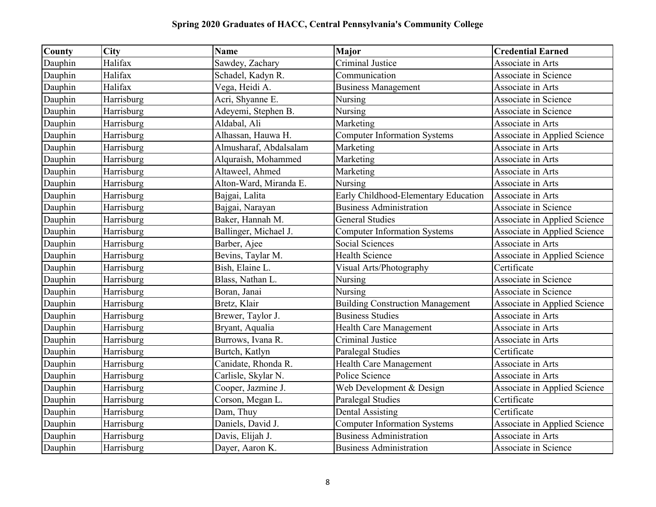| <b>County</b> | <b>City</b> | <b>Name</b>            | <b>Major</b>                            | <b>Credential Earned</b>     |
|---------------|-------------|------------------------|-----------------------------------------|------------------------------|
| Dauphin       | Halifax     | Sawdey, Zachary        | Criminal Justice                        | Associate in Arts            |
| Dauphin       | Halifax     | Schadel, Kadyn R.      | Communication                           | <b>Associate in Science</b>  |
| Dauphin       | Halifax     | Vega, Heidi A.         | <b>Business Management</b>              | Associate in Arts            |
| Dauphin       | Harrisburg  | Acri, Shyanne E.       | Nursing                                 | Associate in Science         |
| Dauphin       | Harrisburg  | Adeyemi, Stephen B.    | Nursing                                 | Associate in Science         |
| Dauphin       | Harrisburg  | Aldabal, Ali           | Marketing                               | Associate in Arts            |
| Dauphin       | Harrisburg  | Alhassan, Hauwa H.     | <b>Computer Information Systems</b>     | Associate in Applied Science |
| Dauphin       | Harrisburg  | Almusharaf, Abdalsalam | Marketing                               | Associate in Arts            |
| Dauphin       | Harrisburg  | Alquraish, Mohammed    | Marketing                               | Associate in Arts            |
| Dauphin       | Harrisburg  | Altaweel, Ahmed        | Marketing                               | Associate in Arts            |
| Dauphin       | Harrisburg  | Alton-Ward, Miranda E. | Nursing                                 | Associate in Arts            |
| Dauphin       | Harrisburg  | Bajgai, Lalita         | Early Childhood-Elementary Education    | Associate in Arts            |
| Dauphin       | Harrisburg  | Bajgai, Narayan        | <b>Business Administration</b>          | <b>Associate in Science</b>  |
| Dauphin       | Harrisburg  | Baker, Hannah M.       | <b>General Studies</b>                  | Associate in Applied Science |
| Dauphin       | Harrisburg  | Ballinger, Michael J.  | <b>Computer Information Systems</b>     | Associate in Applied Science |
| Dauphin       | Harrisburg  | Barber, Ajee           | Social Sciences                         | Associate in Arts            |
| Dauphin       | Harrisburg  | Bevins, Taylar M.      | <b>Health Science</b>                   | Associate in Applied Science |
| Dauphin       | Harrisburg  | Bish, Elaine L.        | Visual Arts/Photography                 | Certificate                  |
| Dauphin       | Harrisburg  | Blass, Nathan L.       | Nursing                                 | Associate in Science         |
| Dauphin       | Harrisburg  | Boran, Janai           | Nursing                                 | Associate in Science         |
| Dauphin       | Harrisburg  | Bretz, Klair           | <b>Building Construction Management</b> | Associate in Applied Science |
| Dauphin       | Harrisburg  | Brewer, Taylor J.      | <b>Business Studies</b>                 | Associate in Arts            |
| Dauphin       | Harrisburg  | Bryant, Aqualia        | Health Care Management                  | Associate in Arts            |
| Dauphin       | Harrisburg  | Burrows, Ivana R.      | Criminal Justice                        | Associate in Arts            |
| Dauphin       | Harrisburg  | Burtch, Katlyn         | Paralegal Studies                       | Certificate                  |
| Dauphin       | Harrisburg  | Canidate, Rhonda R.    | Health Care Management                  | Associate in Arts            |
| Dauphin       | Harrisburg  | Carlisle, Skylar N.    | Police Science                          | Associate in Arts            |
| Dauphin       | Harrisburg  | Cooper, Jazmine J.     | Web Development & Design                | Associate in Applied Science |
| Dauphin       | Harrisburg  | Corson, Megan L.       | Paralegal Studies                       | Certificate                  |
| Dauphin       | Harrisburg  | Dam, Thuy              | Dental Assisting                        | Certificate                  |
| Dauphin       | Harrisburg  | Daniels, David J.      | <b>Computer Information Systems</b>     | Associate in Applied Science |
| Dauphin       | Harrisburg  | Davis, Elijah J.       | <b>Business Administration</b>          | Associate in Arts            |
| Dauphin       | Harrisburg  | Dayer, Aaron K.        | <b>Business Administration</b>          | Associate in Science         |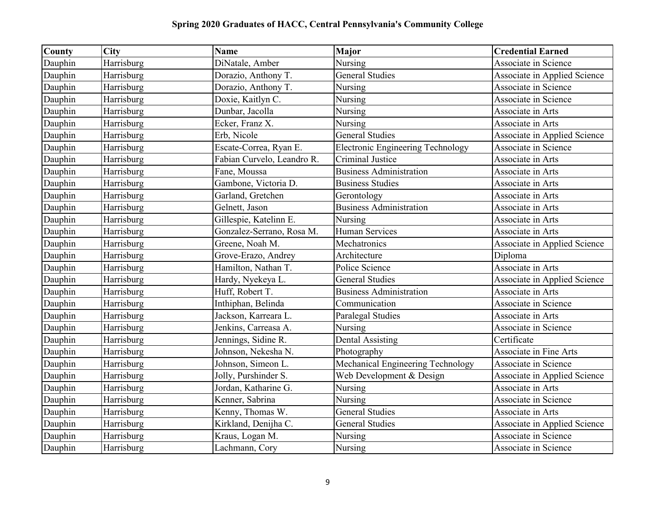| County  | City       | <b>Name</b>                | <b>Major</b>                             | <b>Credential Earned</b>     |
|---------|------------|----------------------------|------------------------------------------|------------------------------|
| Dauphin | Harrisburg | DiNatale, Amber            | Nursing                                  | Associate in Science         |
| Dauphin | Harrisburg | Dorazio, Anthony T.        | General Studies                          | Associate in Applied Science |
| Dauphin | Harrisburg | Dorazio, Anthony T.        | Nursing                                  | Associate in Science         |
| Dauphin | Harrisburg | Doxie, Kaitlyn C.          | Nursing                                  | Associate in Science         |
| Dauphin | Harrisburg | Dunbar, Jacolla            | Nursing                                  | Associate in Arts            |
| Dauphin | Harrisburg | Ecker, Franz X.            | Nursing                                  | Associate in Arts            |
| Dauphin | Harrisburg | Erb, Nicole                | <b>General Studies</b>                   | Associate in Applied Science |
| Dauphin | Harrisburg | Escate-Correa, Ryan E.     | <b>Electronic Engineering Technology</b> | Associate in Science         |
| Dauphin | Harrisburg | Fabian Curvelo, Leandro R. | Criminal Justice                         | Associate in Arts            |
| Dauphin | Harrisburg | Fane, Moussa               | <b>Business Administration</b>           | Associate in Arts            |
| Dauphin | Harrisburg | Gambone, Victoria D.       | <b>Business Studies</b>                  | Associate in Arts            |
| Dauphin | Harrisburg | Garland, Gretchen          | Gerontology                              | Associate in Arts            |
| Dauphin | Harrisburg | Gelnett, Jason             | <b>Business Administration</b>           | Associate in Arts            |
| Dauphin | Harrisburg | Gillespie, Katelinn E.     | Nursing                                  | Associate in Arts            |
| Dauphin | Harrisburg | Gonzalez-Serrano, Rosa M.  | <b>Human Services</b>                    | Associate in Arts            |
| Dauphin | Harrisburg | Greene, Noah M.            | Mechatronics                             | Associate in Applied Science |
| Dauphin | Harrisburg | Grove-Erazo, Andrey        | Architecture                             | Diploma                      |
| Dauphin | Harrisburg | Hamilton, Nathan T.        | Police Science                           | Associate in Arts            |
| Dauphin | Harrisburg | Hardy, Nyekeya L.          | <b>General Studies</b>                   | Associate in Applied Science |
| Dauphin | Harrisburg | Huff, Robert T.            | <b>Business Administration</b>           | Associate in Arts            |
| Dauphin | Harrisburg | Inthiphan, Belinda         | Communication                            | Associate in Science         |
| Dauphin | Harrisburg | Jackson, Karreara L.       | Paralegal Studies                        | Associate in Arts            |
| Dauphin | Harrisburg | Jenkins, Carreasa A.       | Nursing                                  | Associate in Science         |
| Dauphin | Harrisburg | Jennings, Sidine R.        | Dental Assisting                         | Certificate                  |
| Dauphin | Harrisburg | Johnson, Nekesha N.        | Photography                              | Associate in Fine Arts       |
| Dauphin | Harrisburg | Johnson, Simeon L.         | Mechanical Engineering Technology        | Associate in Science         |
| Dauphin | Harrisburg | Jolly, Purshinder S.       | Web Development & Design                 | Associate in Applied Science |
| Dauphin | Harrisburg | Jordan, Katharine G.       | Nursing                                  | Associate in Arts            |
| Dauphin | Harrisburg | Kenner, Sabrina            | Nursing                                  | Associate in Science         |
| Dauphin | Harrisburg | Kenny, Thomas W.           | <b>General Studies</b>                   | Associate in Arts            |
| Dauphin | Harrisburg | Kirkland, Denijha C.       | <b>General Studies</b>                   | Associate in Applied Science |
| Dauphin | Harrisburg | Kraus, Logan M.            | Nursing                                  | Associate in Science         |
| Dauphin | Harrisburg | Lachmann, Cory             | Nursing                                  | Associate in Science         |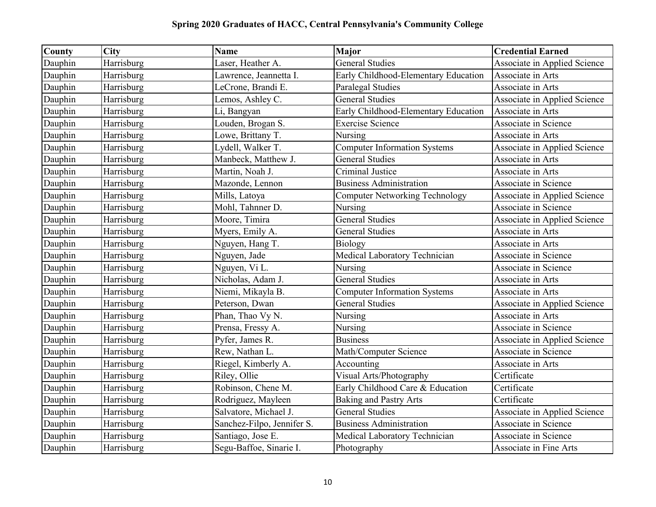| <b>County</b> | <b>City</b> | <b>Name</b>                | <b>Major</b>                          | <b>Credential Earned</b>     |
|---------------|-------------|----------------------------|---------------------------------------|------------------------------|
| Dauphin       | Harrisburg  | Laser, Heather A.          | <b>General Studies</b>                | Associate in Applied Science |
| Dauphin       | Harrisburg  | Lawrence, Jeannetta I.     | Early Childhood-Elementary Education  | Associate in Arts            |
| Dauphin       | Harrisburg  | LeCrone, Brandi E.         | Paralegal Studies                     | Associate in Arts            |
| Dauphin       | Harrisburg  | Lemos, Ashley C.           | <b>General Studies</b>                | Associate in Applied Science |
| Dauphin       | Harrisburg  | Li, Bangyan                | Early Childhood-Elementary Education  | Associate in Arts            |
| Dauphin       | Harrisburg  | Louden, Brogan S.          | <b>Exercise Science</b>               | Associate in Science         |
| Dauphin       | Harrisburg  | Lowe, Brittany T.          | Nursing                               | Associate in Arts            |
| Dauphin       | Harrisburg  | Lydell, Walker T.          | <b>Computer Information Systems</b>   | Associate in Applied Science |
| Dauphin       | Harrisburg  | Manbeck, Matthew J.        | General Studies                       | Associate in Arts            |
| Dauphin       | Harrisburg  | Martin, Noah J.            | Criminal Justice                      | Associate in Arts            |
| Dauphin       | Harrisburg  | Mazonde, Lennon            | <b>Business Administration</b>        | <b>Associate in Science</b>  |
| Dauphin       | Harrisburg  | Mills, Latoya              | <b>Computer Networking Technology</b> | Associate in Applied Science |
| Dauphin       | Harrisburg  | Mohl, Tahnner D.           | Nursing                               | Associate in Science         |
| Dauphin       | Harrisburg  | Moore, Timira              | <b>General Studies</b>                | Associate in Applied Science |
| Dauphin       | Harrisburg  | Myers, Emily A.            | <b>General Studies</b>                | Associate in Arts            |
| Dauphin       | Harrisburg  | Nguyen, Hang T.            | Biology                               | Associate in Arts            |
| Dauphin       | Harrisburg  | Nguyen, Jade               | Medical Laboratory Technician         | Associate in Science         |
| Dauphin       | Harrisburg  | Nguyen, Vi L.              | Nursing                               | Associate in Science         |
| Dauphin       | Harrisburg  | Nicholas, Adam J.          | <b>General Studies</b>                | Associate in Arts            |
| Dauphin       | Harrisburg  | Niemi, Mikayla B.          | <b>Computer Information Systems</b>   | Associate in Arts            |
| Dauphin       | Harrisburg  | Peterson, Dwan             | <b>General Studies</b>                | Associate in Applied Science |
| Dauphin       | Harrisburg  | Phan, Thao Vy N.           | Nursing                               | Associate in Arts            |
| Dauphin       | Harrisburg  | Prensa, Fressy A.          | Nursing                               | Associate in Science         |
| Dauphin       | Harrisburg  | Pyfer, James R.            | <b>Business</b>                       | Associate in Applied Science |
| Dauphin       | Harrisburg  | Rew, Nathan L.             | Math/Computer Science                 | Associate in Science         |
| Dauphin       | Harrisburg  | Riegel, Kimberly A.        | Accounting                            | Associate in Arts            |
| Dauphin       | Harrisburg  | Riley, Ollie               | Visual Arts/Photography               | Certificate                  |
| Dauphin       | Harrisburg  | Robinson, Chene M.         | Early Childhood Care & Education      | Certificate                  |
| Dauphin       | Harrisburg  | Rodriguez, Mayleen         | <b>Baking and Pastry Arts</b>         | Certificate                  |
| Dauphin       | Harrisburg  | Salvatore, Michael J.      | <b>General Studies</b>                | Associate in Applied Science |
| Dauphin       | Harrisburg  | Sanchez-Filpo, Jennifer S. | <b>Business Administration</b>        | Associate in Science         |
| Dauphin       | Harrisburg  | Santiago, Jose E.          | Medical Laboratory Technician         | Associate in Science         |
| Dauphin       | Harrisburg  | Segu-Baffoe, Sinarie I.    | Photography                           | Associate in Fine Arts       |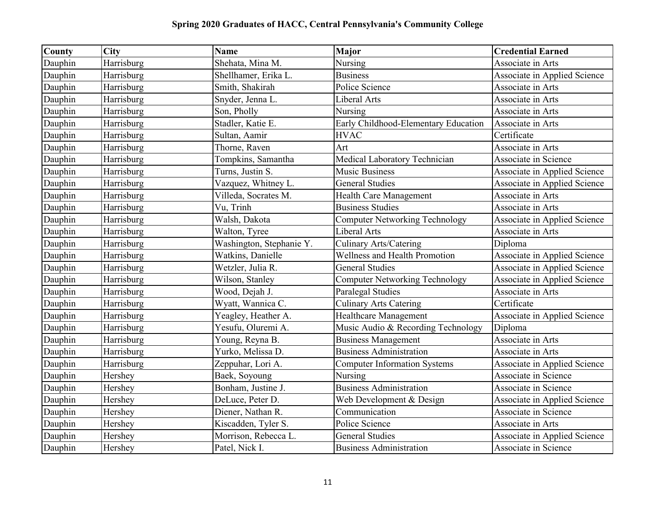| <b>County</b> | <b>City</b> | <b>Name</b>              | <b>Major</b>                          | <b>Credential Earned</b>     |
|---------------|-------------|--------------------------|---------------------------------------|------------------------------|
| Dauphin       | Harrisburg  | Shehata, Mina M.         | Nursing                               | Associate in Arts            |
| Dauphin       | Harrisburg  | Shellhamer, Erika L.     | <b>Business</b>                       | Associate in Applied Science |
| Dauphin       | Harrisburg  | Smith, Shakirah          | Police Science                        | Associate in Arts            |
| Dauphin       | Harrisburg  | Snyder, Jenna L.         | Liberal Arts                          | Associate in Arts            |
| Dauphin       | Harrisburg  | Son, Pholly              | Nursing                               | Associate in Arts            |
| Dauphin       | Harrisburg  | Stadler, Katie E.        | Early Childhood-Elementary Education  | Associate in Arts            |
| Dauphin       | Harrisburg  | Sultan, Aamir            | <b>HVAC</b>                           | Certificate                  |
| Dauphin       | Harrisburg  | Thorne, Raven            | Art                                   | Associate in Arts            |
| Dauphin       | Harrisburg  | Tompkins, Samantha       | Medical Laboratory Technician         | Associate in Science         |
| Dauphin       | Harrisburg  | Turns, Justin S.         | <b>Music Business</b>                 | Associate in Applied Science |
| Dauphin       | Harrisburg  | Vazquez, Whitney L.      | <b>General Studies</b>                | Associate in Applied Science |
| Dauphin       | Harrisburg  | Villeda, Socrates M.     | Health Care Management                | Associate in Arts            |
| Dauphin       | Harrisburg  | Vu, Trinh                | <b>Business Studies</b>               | Associate in Arts            |
| Dauphin       | Harrisburg  | Walsh, Dakota            | <b>Computer Networking Technology</b> | Associate in Applied Science |
| Dauphin       | Harrisburg  | Walton, Tyree            | Liberal Arts                          | Associate in Arts            |
| Dauphin       | Harrisburg  | Washington, Stephanie Y. | <b>Culinary Arts/Catering</b>         | Diploma                      |
| Dauphin       | Harrisburg  | Watkins, Danielle        | Wellness and Health Promotion         | Associate in Applied Science |
| Dauphin       | Harrisburg  | Wetzler, Julia R.        | <b>General Studies</b>                | Associate in Applied Science |
| Dauphin       | Harrisburg  | Wilson, Stanley          | <b>Computer Networking Technology</b> | Associate in Applied Science |
| Dauphin       | Harrisburg  | Wood, Dejah J.           | Paralegal Studies                     | Associate in Arts            |
| Dauphin       | Harrisburg  | Wyatt, Wannica C.        | <b>Culinary Arts Catering</b>         | Certificate                  |
| Dauphin       | Harrisburg  | Yeagley, Heather A.      | Healthcare Management                 | Associate in Applied Science |
| Dauphin       | Harrisburg  | Yesufu, Oluremi A.       | Music Audio & Recording Technology    | Diploma                      |
| Dauphin       | Harrisburg  | Young, Reyna B.          | <b>Business Management</b>            | Associate in Arts            |
| Dauphin       | Harrisburg  | Yurko, Melissa D.        | <b>Business Administration</b>        | Associate in Arts            |
| Dauphin       | Harrisburg  | Zeppuhar, Lori A.        | <b>Computer Information Systems</b>   | Associate in Applied Science |
| Dauphin       | Hershey     | Baek, Soyoung            | Nursing                               | Associate in Science         |
| Dauphin       | Hershey     | Bonham, Justine J.       | <b>Business Administration</b>        | Associate in Science         |
| Dauphin       | Hershey     | DeLuce, Peter D.         | Web Development & Design              | Associate in Applied Science |
| Dauphin       | Hershey     | Diener, Nathan R.        | Communication                         | Associate in Science         |
| Dauphin       | Hershey     | Kiscadden, Tyler S.      | Police Science                        | Associate in Arts            |
| Dauphin       | Hershey     | Morrison, Rebecca L.     | <b>General Studies</b>                | Associate in Applied Science |
| Dauphin       | Hershey     | Patel, Nick I.           | <b>Business Administration</b>        | Associate in Science         |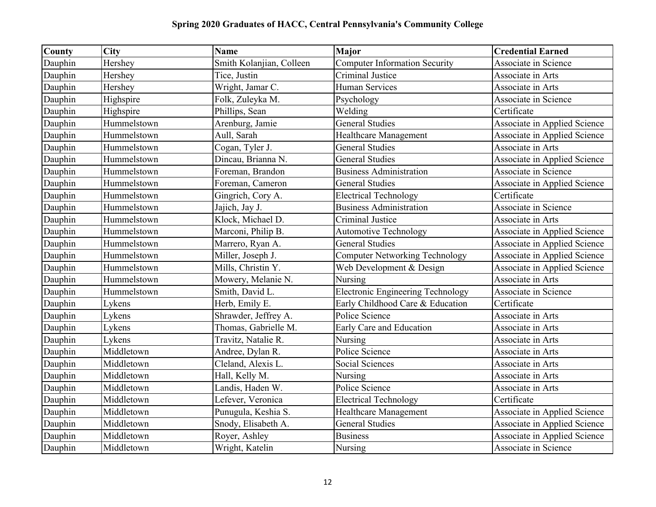| County  | <b>City</b> | <b>Name</b>              | <b>Major</b>                             | <b>Credential Earned</b>     |
|---------|-------------|--------------------------|------------------------------------------|------------------------------|
| Dauphin | Hershey     | Smith Kolanjian, Colleen | <b>Computer Information Security</b>     | Associate in Science         |
| Dauphin | Hershey     | Tice, Justin             | <b>Criminal Justice</b>                  | Associate in Arts            |
| Dauphin | Hershey     | Wright, Jamar C.         | <b>Human Services</b>                    | Associate in Arts            |
| Dauphin | Highspire   | Folk, Zuleyka M.         | Psychology                               | Associate in Science         |
| Dauphin | Highspire   | Phillips, Sean           | Welding                                  | Certificate                  |
| Dauphin | Hummelstown | Arenburg, Jamie          | <b>General Studies</b>                   | Associate in Applied Science |
| Dauphin | Hummelstown | Aull, Sarah              | <b>Healthcare Management</b>             | Associate in Applied Science |
| Dauphin | Hummelstown | Cogan, Tyler J.          | <b>General Studies</b>                   | Associate in Arts            |
| Dauphin | Hummelstown | Dincau, Brianna N.       | <b>General Studies</b>                   | Associate in Applied Science |
| Dauphin | Hummelstown | Foreman, Brandon         | <b>Business Administration</b>           | Associate in Science         |
| Dauphin | Hummelstown | Foreman, Cameron         | <b>General Studies</b>                   | Associate in Applied Science |
| Dauphin | Hummelstown | Gingrich, Cory A.        | <b>Electrical Technology</b>             | Certificate                  |
| Dauphin | Hummelstown | Jajich, Jay J.           | <b>Business Administration</b>           | Associate in Science         |
| Dauphin | Hummelstown | Klock, Michael D.        | Criminal Justice                         | Associate in Arts            |
| Dauphin | Hummelstown | Marconi, Philip B.       | <b>Automotive Technology</b>             | Associate in Applied Science |
| Dauphin | Hummelstown | Marrero, Ryan A.         | <b>General Studies</b>                   | Associate in Applied Science |
| Dauphin | Hummelstown | Miller, Joseph J.        | <b>Computer Networking Technology</b>    | Associate in Applied Science |
| Dauphin | Hummelstown | Mills, Christin Y.       | Web Development & Design                 | Associate in Applied Science |
| Dauphin | Hummelstown | Mowery, Melanie N.       | Nursing                                  | Associate in Arts            |
| Dauphin | Hummelstown | Smith, David L.          | <b>Electronic Engineering Technology</b> | Associate in Science         |
| Dauphin | Lykens      | Herb, Emily E.           | Early Childhood Care & Education         | Certificate                  |
| Dauphin | Lykens      | Shrawder, Jeffrey A.     | Police Science                           | Associate in Arts            |
| Dauphin | Lykens      | Thomas, Gabrielle M.     | Early Care and Education                 | Associate in Arts            |
| Dauphin | Lykens      | Travitz, Natalie R.      | Nursing                                  | Associate in Arts            |
| Dauphin | Middletown  | Andree, Dylan R.         | Police Science                           | Associate in Arts            |
| Dauphin | Middletown  | Cleland, Alexis L.       | Social Sciences                          | Associate in Arts            |
| Dauphin | Middletown  | Hall, Kelly M.           | Nursing                                  | Associate in Arts            |
| Dauphin | Middletown  | Landis, Haden W.         | Police Science                           | Associate in Arts            |
| Dauphin | Middletown  | Lefever, Veronica        | <b>Electrical Technology</b>             | Certificate                  |
| Dauphin | Middletown  | Punugula, Keshia S.      | Healthcare Management                    | Associate in Applied Science |
| Dauphin | Middletown  | Snody, Elisabeth A.      | <b>General Studies</b>                   | Associate in Applied Science |
| Dauphin | Middletown  | Royer, Ashley            | <b>Business</b>                          | Associate in Applied Science |
| Dauphin | Middletown  | Wright, Katelin          | Nursing                                  | Associate in Science         |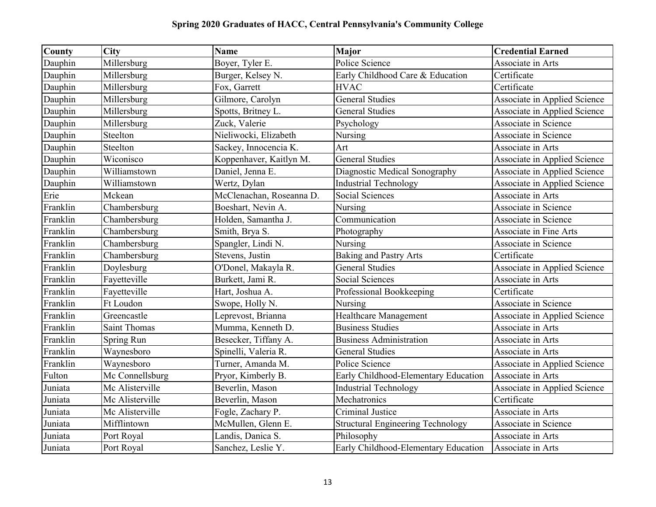| <b>County</b> | <b>City</b>         | <b>Name</b>              | <b>Major</b>                             | <b>Credential Earned</b>      |
|---------------|---------------------|--------------------------|------------------------------------------|-------------------------------|
| Dauphin       | Millersburg         | Boyer, Tyler E.          | Police Science                           | Associate in Arts             |
| Dauphin       | Millersburg         | Burger, Kelsey N.        | Early Childhood Care & Education         | Certificate                   |
| Dauphin       | Millersburg         | Fox, Garrett             | <b>HVAC</b>                              | Certificate                   |
| Dauphin       | Millersburg         | Gilmore, Carolyn         | <b>General Studies</b>                   | Associate in Applied Science  |
| Dauphin       | Millersburg         | Spotts, Britney L.       | <b>General Studies</b>                   | Associate in Applied Science  |
| Dauphin       | Millersburg         | Zuck, Valerie            | Psychology                               | Associate in Science          |
| Dauphin       | Steelton            | Nieliwocki, Elizabeth    | Nursing                                  | Associate in Science          |
| Dauphin       | Steelton            | Sackey, Innocencia K.    | Art                                      | Associate in Arts             |
| Dauphin       | Wiconisco           | Koppenhaver, Kaitlyn M.  | <b>General Studies</b>                   | Associate in Applied Science  |
| Dauphin       | Williamstown        | Daniel, Jenna E.         | Diagnostic Medical Sonography            | Associate in Applied Science  |
| Dauphin       | Williamstown        | Wertz, Dylan             | <b>Industrial Technology</b>             | Associate in Applied Science  |
| Erie          | Mckean              | McClenachan, Roseanna D. | Social Sciences                          | Associate in Arts             |
| Franklin      | Chambersburg        | Boeshart, Nevin A.       | Nursing                                  | Associate in Science          |
| Franklin      | Chambersburg        | Holden, Samantha J.      | Communication                            | <b>Associate in Science</b>   |
| Franklin      | Chambersburg        | Smith, Brya S.           | Photography                              | <b>Associate in Fine Arts</b> |
| Franklin      | Chambersburg        | Spangler, Lindi N.       | Nursing                                  | Associate in Science          |
| Franklin      | Chambersburg        | Stevens, Justin          | <b>Baking and Pastry Arts</b>            | Certificate                   |
| Franklin      | Doylesburg          | O'Donel, Makayla R.      | <b>General Studies</b>                   | Associate in Applied Science  |
| Franklin      | Fayetteville        | Burkett, Jami R.         | Social Sciences                          | Associate in Arts             |
| Franklin      | Fayetteville        | Hart, Joshua A.          | Professional Bookkeeping                 | Certificate                   |
| Franklin      | Ft Loudon           | Swope, Holly N.          | Nursing                                  | Associate in Science          |
| Franklin      | Greencastle         | Leprevost, Brianna       | Healthcare Management                    | Associate in Applied Science  |
| Franklin      | <b>Saint Thomas</b> | Mumma, Kenneth D.        | <b>Business Studies</b>                  | Associate in Arts             |
| Franklin      | Spring Run          | Besecker, Tiffany A.     | <b>Business Administration</b>           | Associate in Arts             |
| Franklin      | Waynesboro          | Spinelli, Valeria R.     | <b>General Studies</b>                   | Associate in Arts             |
| Franklin      | Waynesboro          | Turner, Amanda M.        | Police Science                           | Associate in Applied Science  |
| Fulton        | Mc Connellsburg     | Pryor, Kimberly B.       | Early Childhood-Elementary Education     | Associate in Arts             |
| Juniata       | Mc Alisterville     | Beverlin, Mason          | <b>Industrial Technology</b>             | Associate in Applied Science  |
| Juniata       | Mc Alisterville     | Beverlin, Mason          | Mechatronics                             | Certificate                   |
| Juniata       | Mc Alisterville     | Fogle, Zachary P.        | Criminal Justice                         | Associate in Arts             |
| Juniata       | Mifflintown         | McMullen, Glenn E.       | <b>Structural Engineering Technology</b> | Associate in Science          |
| Juniata       | Port Royal          | Landis, Danica S.        | Philosophy                               | Associate in Arts             |
| Juniata       | Port Royal          | Sanchez, Leslie Y.       | Early Childhood-Elementary Education     | Associate in Arts             |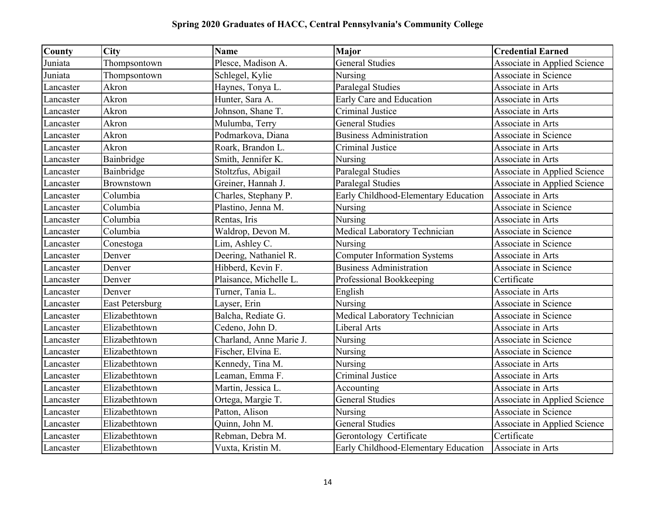| <b>County</b> | <b>City</b>            | <b>Name</b>             | Major                                | <b>Credential Earned</b>     |
|---------------|------------------------|-------------------------|--------------------------------------|------------------------------|
| Juniata       | Thompsontown           | Plesce, Madison A.      | <b>General Studies</b>               | Associate in Applied Science |
| Juniata       | Thompsontown           | Schlegel, Kylie         | Nursing                              | Associate in Science         |
| Lancaster     | Akron                  | Haynes, Tonya L.        | Paralegal Studies                    | Associate in Arts            |
| Lancaster     | Akron                  | Hunter, Sara A.         | Early Care and Education             | Associate in Arts            |
| Lancaster     | Akron                  | Johnson, Shane T.       | Criminal Justice                     | Associate in Arts            |
| Lancaster     | Akron                  | Mulumba, Terry          | <b>General Studies</b>               | Associate in Arts            |
| Lancaster     | Akron                  | Podmarkova, Diana       | <b>Business Administration</b>       | Associate in Science         |
| Lancaster     | Akron                  | Roark, Brandon L.       | Criminal Justice                     | Associate in Arts            |
| Lancaster     | Bainbridge             | Smith, Jennifer K.      | Nursing                              | Associate in Arts            |
| Lancaster     | Bainbridge             | Stoltzfus, Abigail      | Paralegal Studies                    | Associate in Applied Science |
| Lancaster     | Brownstown             | Greiner, Hannah J.      | Paralegal Studies                    | Associate in Applied Science |
| Lancaster     | Columbia               | Charles, Stephany P.    | Early Childhood-Elementary Education | Associate in Arts            |
| Lancaster     | Columbia               | Plastino, Jenna M.      | Nursing                              | Associate in Science         |
| Lancaster     | Columbia               | Rentas, Iris            | Nursing                              | Associate in Arts            |
| Lancaster     | Columbia               | Waldrop, Devon M.       | Medical Laboratory Technician        | Associate in Science         |
| Lancaster     | Conestoga              | Lim, Ashley C.          | Nursing                              | Associate in Science         |
| Lancaster     | Denver                 | Deering, Nathaniel R.   | <b>Computer Information Systems</b>  | Associate in Arts            |
| Lancaster     | Denver                 | Hibberd, Kevin F.       | <b>Business Administration</b>       | <b>Associate in Science</b>  |
| Lancaster     | Denver                 | Plaisance, Michelle L.  | Professional Bookkeeping             | Certificate                  |
| Lancaster     | Denver                 | Turner, Tania L.        | English                              | Associate in Arts            |
| Lancaster     | <b>East Petersburg</b> | Layser, Erin            | Nursing                              | Associate in Science         |
| Lancaster     | Elizabethtown          | Balcha, Rediate G.      | Medical Laboratory Technician        | Associate in Science         |
| Lancaster     | Elizabethtown          | Cedeno, John D.         | Liberal Arts                         | Associate in Arts            |
| Lancaster     | Elizabethtown          | Charland, Anne Marie J. | Nursing                              | Associate in Science         |
| Lancaster     | Elizabethtown          | Fischer, Elvina E.      | Nursing                              | Associate in Science         |
| Lancaster     | Elizabethtown          | Kennedy, Tina M.        | Nursing                              | Associate in Arts            |
| Lancaster     | Elizabethtown          | Leaman, Emma F.         | Criminal Justice                     | Associate in Arts            |
| Lancaster     | Elizabethtown          | Martin, Jessica L.      | Accounting                           | Associate in Arts            |
| Lancaster     | Elizabethtown          | Ortega, Margie T.       | <b>General Studies</b>               | Associate in Applied Science |
| Lancaster     | Elizabethtown          | Patton, Alison          | Nursing                              | Associate in Science         |
| Lancaster     | Elizabethtown          | Quinn, John M.          | <b>General Studies</b>               | Associate in Applied Science |
| Lancaster     | Elizabethtown          | Rebman, Debra M.        | Gerontology Certificate              | Certificate                  |
| Lancaster     | Elizabethtown          | Vuxta, Kristin M.       | Early Childhood-Elementary Education | Associate in Arts            |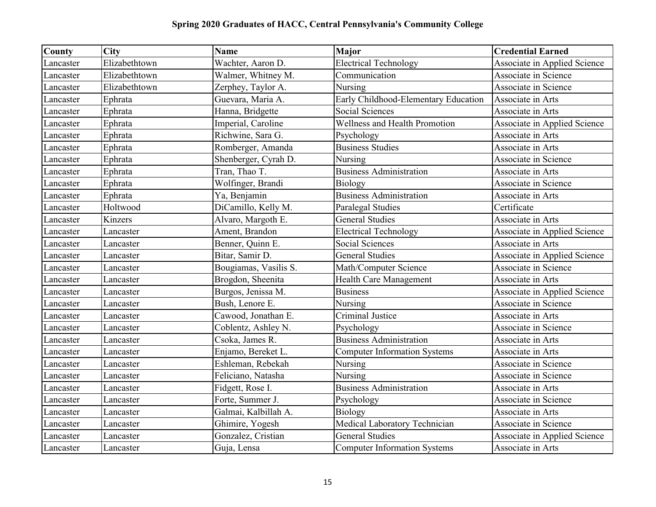| <b>County</b> | <b>City</b>   | <b>Name</b>           | <b>Major</b>                         | <b>Credential Earned</b>     |
|---------------|---------------|-----------------------|--------------------------------------|------------------------------|
| Lancaster     | Elizabethtown | Wachter, Aaron D.     | <b>Electrical Technology</b>         | Associate in Applied Science |
| Lancaster     | Elizabethtown | Walmer, Whitney M.    | Communication                        | Associate in Science         |
| Lancaster     | Elizabethtown | Zerphey, Taylor A.    | Nursing                              | Associate in Science         |
| Lancaster     | Ephrata       | Guevara, Maria A.     | Early Childhood-Elementary Education | Associate in Arts            |
| Lancaster     | Ephrata       | Hanna, Bridgette      | <b>Social Sciences</b>               | Associate in Arts            |
| Lancaster     | Ephrata       | Imperial, Caroline    | <b>Wellness and Health Promotion</b> | Associate in Applied Science |
| Lancaster     | Ephrata       | Richwine, Sara G.     | Psychology                           | Associate in Arts            |
| Lancaster     | Ephrata       | Romberger, Amanda     | <b>Business Studies</b>              | Associate in Arts            |
| Lancaster     | Ephrata       | Shenberger, Cyrah D.  | Nursing                              | <b>Associate in Science</b>  |
| Lancaster     | Ephrata       | Tran, Thao T.         | <b>Business Administration</b>       | Associate in Arts            |
| Lancaster     | Ephrata       | Wolfinger, Brandi     | Biology                              | Associate in Science         |
| Lancaster     | Ephrata       | Ya, Benjamin          | <b>Business Administration</b>       | Associate in Arts            |
| Lancaster     | Holtwood      | DiCamillo, Kelly M.   | Paralegal Studies                    | Certificate                  |
| Lancaster     | Kinzers       | Alvaro, Margoth E.    | <b>General Studies</b>               | Associate in Arts            |
| Lancaster     | Lancaster     | Ament, Brandon        | <b>Electrical Technology</b>         | Associate in Applied Science |
| Lancaster     | Lancaster     | Benner, Quinn E.      | Social Sciences                      | Associate in Arts            |
| Lancaster     | Lancaster     | Bitar, Samir D.       | <b>General Studies</b>               | Associate in Applied Science |
| Lancaster     | Lancaster     | Bougiamas, Vasilis S. | Math/Computer Science                | Associate in Science         |
| Lancaster     | Lancaster     | Brogdon, Sheenita     | Health Care Management               | Associate in Arts            |
| Lancaster     | Lancaster     | Burgos, Jenissa M.    | <b>Business</b>                      | Associate in Applied Science |
| Lancaster     | Lancaster     | Bush, Lenore E.       | Nursing                              | <b>Associate in Science</b>  |
| Lancaster     | Lancaster     | Cawood, Jonathan E.   | Criminal Justice                     | Associate in Arts            |
| Lancaster     | Lancaster     | Coblentz, Ashley N.   | Psychology                           | Associate in Science         |
| Lancaster     | Lancaster     | Csoka, James R.       | <b>Business Administration</b>       | Associate in Arts            |
| Lancaster     | Lancaster     | Enjamo, Bereket L.    | <b>Computer Information Systems</b>  | Associate in Arts            |
| Lancaster     | Lancaster     | Eshleman, Rebekah     | Nursing                              | <b>Associate in Science</b>  |
| Lancaster     | Lancaster     | Feliciano, Natasha    | Nursing                              | Associate in Science         |
| Lancaster     | Lancaster     | Fidgett, Rose I.      | <b>Business Administration</b>       | Associate in Arts            |
| Lancaster     | Lancaster     | Forte, Summer J.      | Psychology                           | Associate in Science         |
| Lancaster     | Lancaster     | Galmai, Kalbillah A.  | Biology                              | Associate in Arts            |
| Lancaster     | Lancaster     | Ghimire, Yogesh       | Medical Laboratory Technician        | <b>Associate in Science</b>  |
| Lancaster     | Lancaster     | Gonzalez, Cristian    | <b>General Studies</b>               | Associate in Applied Science |
| Lancaster     | Lancaster     | Guja, Lensa           | <b>Computer Information Systems</b>  | Associate in Arts            |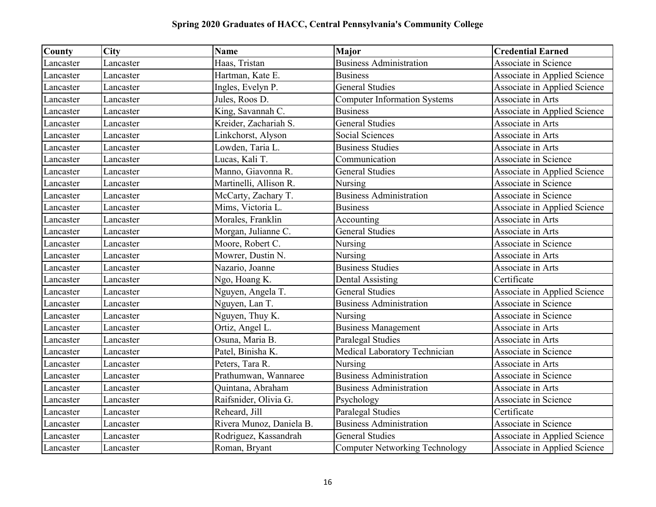| County    | <b>City</b> | <b>Name</b>              | Major                               | <b>Credential Earned</b>     |
|-----------|-------------|--------------------------|-------------------------------------|------------------------------|
| Lancaster | Lancaster   | Haas, Tristan            | <b>Business Administration</b>      | Associate in Science         |
| Lancaster | Lancaster   | Hartman, Kate E.         | <b>Business</b>                     | Associate in Applied Science |
| Lancaster | Lancaster   | Ingles, Evelyn P.        | <b>General Studies</b>              | Associate in Applied Science |
| Lancaster | Lancaster   | Jules, Roos D.           | <b>Computer Information Systems</b> | Associate in Arts            |
| Lancaster | Lancaster   | King, Savannah C.        | <b>Business</b>                     | Associate in Applied Science |
| Lancaster | Lancaster   | Kreider, Zachariah S.    | <b>General Studies</b>              | Associate in Arts            |
| Lancaster | Lancaster   | Linkchorst, Alyson       | Social Sciences                     | Associate in Arts            |
| Lancaster | Lancaster   | Lowden, Taria L.         | <b>Business Studies</b>             | Associate in Arts            |
| Lancaster | Lancaster   | Lucas, Kali T.           | Communication                       | <b>Associate in Science</b>  |
| Lancaster | Lancaster   | Manno, Giavonna R.       | <b>General Studies</b>              | Associate in Applied Science |
| Lancaster | Lancaster   | Martinelli, Allison R.   | Nursing                             | <b>Associate in Science</b>  |
| Lancaster | Lancaster   | McCarty, Zachary T.      | <b>Business Administration</b>      | Associate in Science         |
| Lancaster | Lancaster   | Mims, Victoria L.        | <b>Business</b>                     | Associate in Applied Science |
| Lancaster | Lancaster   | Morales, Franklin        | Accounting                          | Associate in Arts            |
| Lancaster | Lancaster   | Morgan, Julianne C.      | <b>General Studies</b>              | Associate in Arts            |
| Lancaster | Lancaster   | Moore, Robert C.         | Nursing                             | Associate in Science         |
| Lancaster | Lancaster   | Mowrer, Dustin N.        | Nursing                             | Associate in Arts            |
| Lancaster | Lancaster   | Nazario, Joanne          | <b>Business Studies</b>             | Associate in Arts            |
| Lancaster | Lancaster   | Ngo, Hoang K.            | <b>Dental Assisting</b>             | Certificate                  |
| Lancaster | Lancaster   | Nguyen, Angela T.        | <b>General Studies</b>              | Associate in Applied Science |
| Lancaster | Lancaster   | Nguyen, Lan T.           | <b>Business Administration</b>      | Associate in Science         |
| Lancaster | Lancaster   | Nguyen, Thuy K.          | Nursing                             | Associate in Science         |
| Lancaster | Lancaster   | Ortiz, Angel L.          | <b>Business Management</b>          | Associate in Arts            |
| Lancaster | Lancaster   | Osuna, Maria B.          | Paralegal Studies                   | Associate in Arts            |
| Lancaster | Lancaster   | Patel, Binisha K.        | Medical Laboratory Technician       | <b>Associate in Science</b>  |
| Lancaster | Lancaster   | Peters, Tara R.          | Nursing                             | Associate in Arts            |
| Lancaster | Lancaster   | Prathumwan, Wannaree     | <b>Business Administration</b>      | Associate in Science         |
| Lancaster | Lancaster   | Quintana, Abraham        | <b>Business Administration</b>      | Associate in Arts            |
| Lancaster | Lancaster   | Raifsnider, Olivia G.    | Psychology                          | Associate in Science         |
| Lancaster | Lancaster   | Reheard, Jill            | Paralegal Studies                   | Certificate                  |
| Lancaster | Lancaster   | Rivera Munoz, Daniela B. | <b>Business Administration</b>      | Associate in Science         |
| Lancaster | Lancaster   | Rodriguez, Kassandrah    | <b>General Studies</b>              | Associate in Applied Science |
| Lancaster | Lancaster   | Roman, Bryant            | Computer Networking Technology      | Associate in Applied Science |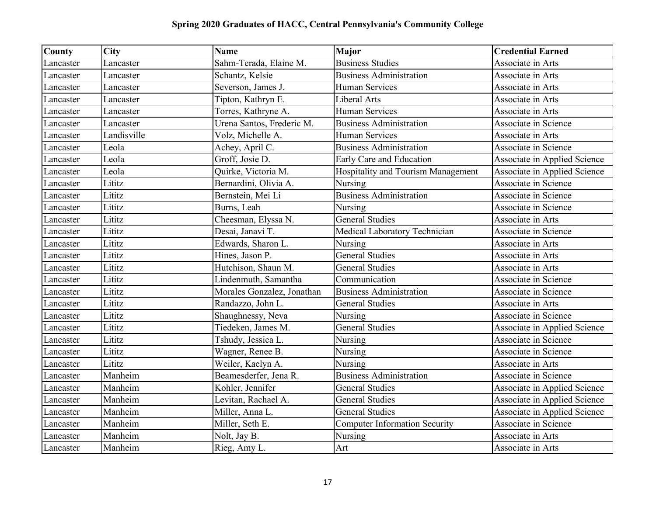| <b>County</b> | <b>City</b> | <b>Name</b>                | <b>Major</b>                         | <b>Credential Earned</b>     |
|---------------|-------------|----------------------------|--------------------------------------|------------------------------|
| Lancaster     | Lancaster   | Sahm-Terada, Elaine M.     | <b>Business Studies</b>              | Associate in Arts            |
| Lancaster     | Lancaster   | Schantz, Kelsie            | <b>Business Administration</b>       | Associate in Arts            |
| Lancaster     | Lancaster   | Severson, James J.         | <b>Human Services</b>                | Associate in Arts            |
| Lancaster     | Lancaster   | Tipton, Kathryn E.         | Liberal Arts                         | Associate in Arts            |
| Lancaster     | Lancaster   | Torres, Kathryne A.        | <b>Human Services</b>                | Associate in Arts            |
| Lancaster     | Lancaster   | Urena Santos, Frederic M.  | <b>Business Administration</b>       | Associate in Science         |
| Lancaster     | Landisville | Volz, Michelle A.          | <b>Human Services</b>                | Associate in Arts            |
| Lancaster     | Leola       | Achey, April C.            | <b>Business Administration</b>       | Associate in Science         |
| Lancaster     | Leola       | Groff, Josie D.            | Early Care and Education             | Associate in Applied Science |
| Lancaster     | Leola       | Quirke, Victoria M.        | Hospitality and Tourism Management   | Associate in Applied Science |
| Lancaster     | Lititz      | Bernardini, Olivia A.      | Nursing                              | Associate in Science         |
| Lancaster     | Lititz      | Bernstein, Mei Li          | <b>Business Administration</b>       | Associate in Science         |
| Lancaster     | Lititz      | Burns, Leah                | Nursing                              | Associate in Science         |
| Lancaster     | Lititz      | Cheesman, Elyssa N.        | <b>General Studies</b>               | Associate in Arts            |
| Lancaster     | Lititz      | Desai, Janavi T.           | Medical Laboratory Technician        | Associate in Science         |
| Lancaster     | Lititz      | Edwards, Sharon L.         | Nursing                              | Associate in Arts            |
| Lancaster     | Lititz      | Hines, Jason P.            | <b>General Studies</b>               | Associate in Arts            |
| Lancaster     | Lititz      | Hutchison, Shaun M.        | <b>General Studies</b>               | Associate in Arts            |
| Lancaster     | Lititz      | Lindenmuth, Samantha       | Communication                        | Associate in Science         |
| Lancaster     | Lititz      | Morales Gonzalez, Jonathan | <b>Business Administration</b>       | <b>Associate in Science</b>  |
| Lancaster     | Lititz      | Randazzo, John L.          | <b>General Studies</b>               | Associate in Arts            |
| Lancaster     | Lititz      | Shaughnessy, Neva          | Nursing                              | Associate in Science         |
| Lancaster     | Lititz      | Tiedeken, James M.         | <b>General Studies</b>               | Associate in Applied Science |
| Lancaster     | Lititz      | Tshudy, Jessica L.         | Nursing                              | Associate in Science         |
| Lancaster     | Lititz      | Wagner, Renee B.           | Nursing                              | Associate in Science         |
| Lancaster     | Lititz      | Weiler, Kaelyn A.          | Nursing                              | Associate in Arts            |
| Lancaster     | Manheim     | Beamesderfer, Jena R.      | <b>Business Administration</b>       | Associate in Science         |
| Lancaster     | Manheim     | Kohler, Jennifer           | <b>General Studies</b>               | Associate in Applied Science |
| Lancaster     | Manheim     | Levitan, Rachael A.        | <b>General Studies</b>               | Associate in Applied Science |
| Lancaster     | Manheim     | Miller, Anna L.            | <b>General Studies</b>               | Associate in Applied Science |
| Lancaster     | Manheim     | Miller, Seth E.            | <b>Computer Information Security</b> | Associate in Science         |
| Lancaster     | Manheim     | Nolt, Jay B.               | Nursing                              | Associate in Arts            |
| Lancaster     | Manheim     | Rieg, Amy L.               | Art                                  | Associate in Arts            |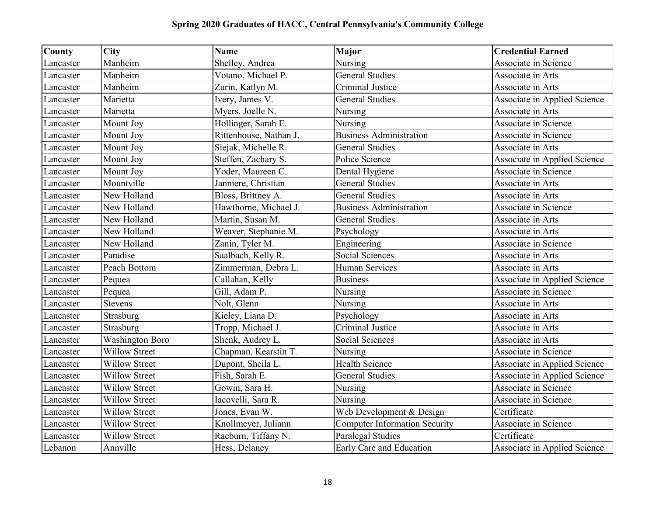| <b>County</b> | <b>City</b>            | <b>Name</b>            | Major                                | <b>Credential Earned</b>            |
|---------------|------------------------|------------------------|--------------------------------------|-------------------------------------|
| ∟ancaster     | Manheim                | Shelley, Andrea        | Nursing                              | Associate in Science                |
| Lancaster     | Manheim                | Votano, Michael P.     | <b>General Studies</b>               | Associate in Arts                   |
| Lancaster     | Manheim                | Zurin, Katlyn M.       | Criminal Justice                     | Associate in Arts                   |
| Lancaster     | Marietta               | Ivery, James V.        | <b>General Studies</b>               | Associate in Applied Science        |
| Lancaster     | Marietta               | Myers, Joelle N.       | Nursing                              | Associate in Arts                   |
| Lancaster     | Mount Joy              | Hollinger, Sarah E.    | Nursing                              | Associate in Science                |
| Lancaster     | Mount Joy              | Rittenhouse, Nathan J. | <b>Business Administration</b>       | <b>Associate in Science</b>         |
| Lancaster     | Mount Joy              | Siejak, Michelle R.    | <b>General Studies</b>               | Associate in Arts                   |
| Lancaster     | Mount Joy              | Steffen, Zachary S.    | Police Science                       | <b>Associate in Applied Science</b> |
| Lancaster     | Mount Joy              | Yoder, Maureen C.      | Dental Hygiene                       | Associate in Science                |
| Lancaster     | Mountville             | Janniere, Christian    | <b>General Studies</b>               | Associate in Arts                   |
| Lancaster     | New Holland            | Bloss, Brittney A.     | <b>General Studies</b>               | Associate in Arts                   |
| Lancaster     | New Holland            | Hawthorne, Michael J.  | <b>Business Administration</b>       | Associate in Science                |
| Lancaster     | New Holland            | Martin, Susan M.       | <b>General Studies</b>               | Associate in Arts                   |
| Lancaster     | New Holland            | Weaver, Stephanie M.   | Psychology                           | Associate in Arts                   |
| Lancaster     | New Holland            | Zanin, Tyler M.        | Engineering                          | <b>Associate in Science</b>         |
| Lancaster     | Paradise               | Saalbach, Kelly R.     | Social Sciences                      | Associate in Arts                   |
| Lancaster     | Peach Bottom           | Zimmerman, Debra L.    | Human Services                       | Associate in Arts                   |
| Lancaster     | Pequea                 | Callahan, Kelly        | <b>Business</b>                      | Associate in Applied Science        |
| Lancaster     | Pequea                 | Gill, Adam P.          | Nursing                              | Associate in Science                |
| Lancaster     | <b>Stevens</b>         | Nolt, Glenn            | Nursing                              | Associate in Arts                   |
| Lancaster     | Strasburg              | Kieley, Liana D.       | Psychology                           | Associate in Arts                   |
| Lancaster     | Strasburg              | Tropp, Michael J.      | Criminal Justice                     | Associate in Arts                   |
| Lancaster     | <b>Washington Boro</b> | Shenk, Audrey L.       | Social Sciences                      | Associate in Arts                   |
| Lancaster     | <b>Willow Street</b>   | Chapman, Kearstin T.   | Nursing                              | Associate in Science                |
| Lancaster     | <b>Willow Street</b>   | Dupont, Sheila L.      | <b>Health Science</b>                | Associate in Applied Science        |
| Lancaster     | <b>Willow Street</b>   | Fish, Sarah E.         | <b>General Studies</b>               | Associate in Applied Science        |
| Lancaster     | <b>Willow Street</b>   | Gowin, Sara H.         | Nursing                              | Associate in Science                |
| Lancaster     | <b>Willow Street</b>   | Iacovelli, Sara R.     | Nursing                              | Associate in Science                |
| Lancaster     | <b>Willow Street</b>   | Jones, Evan W.         | Web Development & Design             | Certificate                         |
| Lancaster     | <b>Willow Street</b>   | Knollmeyer, Juliann    | <b>Computer Information Security</b> | Associate in Science                |
| Lancaster     | <b>Willow Street</b>   | Raeburn, Tiffany N.    | Paralegal Studies                    | Certificate                         |
| Lebanon       | Annville               | Hess, Delaney          | Early Care and Education             | Associate in Applied Science        |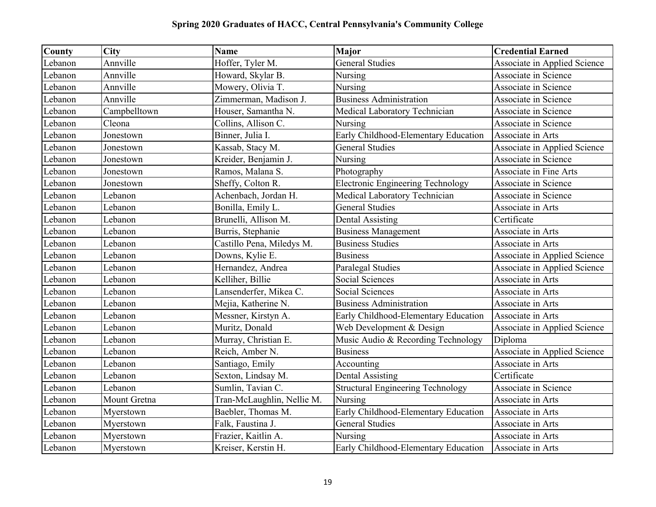| <b>County</b> | <b>City</b>  | <b>Name</b>                | Major                                    | <b>Credential Earned</b>      |
|---------------|--------------|----------------------------|------------------------------------------|-------------------------------|
| Lebanon       | Annville     | Hoffer, Tyler M.           | <b>General Studies</b>                   | Associate in Applied Science  |
| Lebanon       | Annville     | Howard, Skylar B.          | Nursing                                  | Associate in Science          |
| Lebanon       | Annville     | Mowery, Olivia T.          | Nursing                                  | Associate in Science          |
| Lebanon       | Annville     | Zimmerman, Madison J.      | <b>Business Administration</b>           | <b>Associate in Science</b>   |
| Lebanon       | Campbelltown | Houser, Samantha N.        | Medical Laboratory Technician            | <b>Associate in Science</b>   |
| Lebanon       | Cleona       | Collins, Allison C.        | Nursing                                  | Associate in Science          |
| Lebanon       | Jonestown    | Binner, Julia I.           | Early Childhood-Elementary Education     | Associate in Arts             |
| Lebanon       | Jonestown    | Kassab, Stacy M.           | <b>General Studies</b>                   | Associate in Applied Science  |
| Lebanon       | Jonestown    | Kreider, Benjamin J.       | Nursing                                  | Associate in Science          |
| Lebanon       | Jonestown    | Ramos, Malana S.           | Photography                              | <b>Associate in Fine Arts</b> |
| Lebanon       | Jonestown    | Sheffy, Colton R.          | <b>Electronic Engineering Technology</b> | Associate in Science          |
| Lebanon       | Lebanon      | Achenbach, Jordan H.       | Medical Laboratory Technician            | Associate in Science          |
| Lebanon       | Lebanon      | Bonilla, Emily L.          | <b>General Studies</b>                   | Associate in Arts             |
| Lebanon       | Lebanon      | Brunelli, Allison M.       | Dental Assisting                         | Certificate                   |
| Lebanon       | Lebanon      | Burris, Stephanie          | <b>Business Management</b>               | Associate in Arts             |
| Lebanon       | Lebanon      | Castillo Pena, Miledys M.  | <b>Business Studies</b>                  | Associate in Arts             |
| Lebanon       | Lebanon      | Downs, Kylie E.            | <b>Business</b>                          | Associate in Applied Science  |
| Lebanon       | Lebanon      | Hernandez, Andrea          | Paralegal Studies                        | Associate in Applied Science  |
| Lebanon       | Lebanon      | Kelliher, Billie           | Social Sciences                          | Associate in Arts             |
| Lebanon       | Lebanon      | Lansenderfer, Mikea C.     | <b>Social Sciences</b>                   | Associate in Arts             |
| Lebanon       | Lebanon      | Mejia, Katherine N.        | <b>Business Administration</b>           | Associate in Arts             |
| Lebanon       | Lebanon      | Messner, Kirstyn A.        | Early Childhood-Elementary Education     | Associate in Arts             |
| Lebanon       | Lebanon      | Muritz, Donald             | Web Development & Design                 | Associate in Applied Science  |
| Lebanon       | Lebanon      | Murray, Christian E.       | Music Audio & Recording Technology       | Diploma                       |
| Lebanon       | Lebanon      | Reich, Amber N.            | <b>Business</b>                          | Associate in Applied Science  |
| Lebanon       | Lebanon      | Santiago, Emily            | Accounting                               | Associate in Arts             |
| Lebanon       | Lebanon      | Sexton, Lindsay M.         | <b>Dental Assisting</b>                  | Certificate                   |
| Lebanon       | Lebanon      | Sumlin, Tavian C.          | <b>Structural Engineering Technology</b> | Associate in Science          |
| Lebanon       | Mount Gretna | Tran-McLaughlin, Nellie M. | Nursing                                  | Associate in Arts             |
| Lebanon       | Myerstown    | Baebler, Thomas M.         | Early Childhood-Elementary Education     | Associate in Arts             |
| Lebanon       | Myerstown    | Falk, Faustina J.          | <b>General Studies</b>                   | Associate in Arts             |
| Lebanon       | Myerstown    | Frazier, Kaitlin A.        | Nursing                                  | Associate in Arts             |
| Lebanon       | Myerstown    | Kreiser, Kerstin H.        | Early Childhood-Elementary Education     | Associate in Arts             |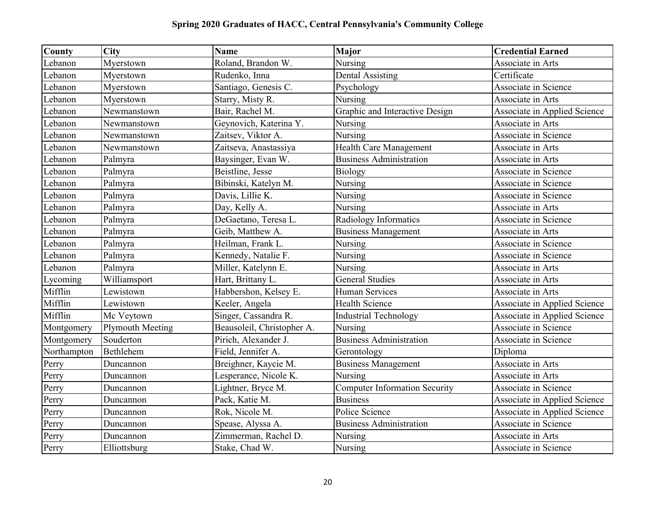| County      | City             | <b>Name</b>                | Major                                | <b>Credential Earned</b>     |
|-------------|------------------|----------------------------|--------------------------------------|------------------------------|
| Lebanon     | Myerstown        | Roland, Brandon W.         | Nursing                              | Associate in Arts            |
| Lebanon     | Myerstown        | Rudenko, Inna              | <b>Dental Assisting</b>              | Certificate                  |
| Lebanon     | Myerstown        | Santiago, Genesis C.       | Psychology                           | Associate in Science         |
| Lebanon     | Myerstown        | Starry, Misty R.           | Nursing                              | Associate in Arts            |
| Lebanon     | Newmanstown      | Bair, Rachel M.            | Graphic and Interactive Design       | Associate in Applied Science |
| Lebanon     | Newmanstown      | Geynovich, Katerina Y.     | Nursing                              | Associate in Arts            |
| Lebanon     | Newmanstown      | Zaitsev, Viktor A.         | Nursing                              | Associate in Science         |
| Lebanon     | Newmanstown      | Zaitseva, Anastassiya      | Health Care Management               | Associate in Arts            |
| Lebanon     | Palmyra          | Baysinger, Evan W.         | <b>Business Administration</b>       | Associate in Arts            |
| Lebanon     | Palmyra          | Beistline, Jesse           | <b>Biology</b>                       | <b>Associate in Science</b>  |
| Lebanon     | Palmyra          | Bibinski, Katelyn M.       | Nursing                              | Associate in Science         |
| Lebanon     | Palmyra          | Davis, Lillie K.           | Nursing                              | Associate in Science         |
| Lebanon     | Palmyra          | Day, Kelly A.              | Nursing                              | Associate in Arts            |
| Lebanon     | Palmyra          | DeGaetano, Teresa L.       | Radiology Informatics                | Associate in Science         |
| Lebanon     | Palmyra          | Geib, Matthew A.           | <b>Business Management</b>           | Associate in Arts            |
| Lebanon     | Palmyra          | Heilman, Frank L.          | Nursing                              | Associate in Science         |
| Lebanon     | Palmyra          | Kennedy, Natalie F.        | Nursing                              | Associate in Science         |
| Lebanon     | Palmyra          | Miller, Katelynn E.        | Nursing                              | Associate in Arts            |
| Lycoming    | Williamsport     | Hart, Brittany L.          | General Studies                      | Associate in Arts            |
| Mifflin     | Lewistown        | Habbershon, Kelsey E.      | Human Services                       | Associate in Arts            |
| Mifflin     | Lewistown        | Keeler, Angela             | <b>Health Science</b>                | Associate in Applied Science |
| Mifflin     | Mc Veytown       | Singer, Cassandra R.       | <b>Industrial Technology</b>         | Associate in Applied Science |
| Montgomery  | Plymouth Meeting | Beausoleil, Christopher A. | Nursing                              | Associate in Science         |
| Montgomery  | Souderton        | Pirich, Alexander J.       | <b>Business Administration</b>       | Associate in Science         |
| Northampton | Bethlehem        | Field, Jennifer A.         | Gerontology                          | Diploma                      |
| Perry       | Duncannon        | Breighner, Kaycie M.       | <b>Business Management</b>           | Associate in Arts            |
| Perry       | Duncannon        | Lesperance, Nicole K.      | Nursing                              | Associate in Arts            |
| Perry       | Duncannon        | Lightner, Bryce M.         | <b>Computer Information Security</b> | Associate in Science         |
| Perry       | Duncannon        | Pack, Katie M.             | <b>Business</b>                      | Associate in Applied Science |
| Perry       | Duncannon        | Rok, Nicole M.             | Police Science                       | Associate in Applied Science |
| Perry       | Duncannon        | Spease, Alyssa A.          | <b>Business Administration</b>       | Associate in Science         |
| Perry       | Duncannon        | Zimmerman, Rachel D.       | Nursing                              | Associate in Arts            |
| Perry       | Elliottsburg     | Stake, Chad W.             | Nursing                              | Associate in Science         |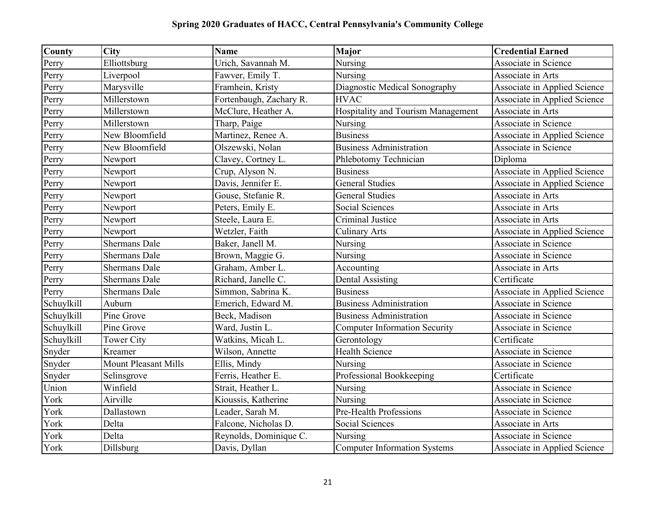| County     | <b>City</b>                 | <b>Name</b>             | <b>Major</b>                         | <b>Credential Earned</b>     |
|------------|-----------------------------|-------------------------|--------------------------------------|------------------------------|
| Perry      | Elliottsburg                | Urich, Savannah M.      | Nursing                              | Associate in Science         |
| Perry      | Liverpool                   | Fawver, Emily T.        | Nursing                              | Associate in Arts            |
| Perry      | Marysville                  | Framhein, Kristy        | Diagnostic Medical Sonography        | Associate in Applied Science |
| Perry      | Millerstown                 | Fortenbaugh, Zachary R. | <b>HVAC</b>                          | Associate in Applied Science |
| Perry      | Millerstown                 | McClure, Heather A.     | Hospitality and Tourism Management   | Associate in Arts            |
| Perry      | Millerstown                 | Tharp, Paige            | Nursing                              | Associate in Science         |
| Perry      | New Bloomfield              | Martinez, Renee A.      | <b>Business</b>                      | Associate in Applied Science |
| Perry      | New Bloomfield              | Olszewski, Nolan        | <b>Business Administration</b>       | Associate in Science         |
| Perry      | Newport                     | Clavey, Cortney L.      | Phlebotomy Technician                | Diploma                      |
| Perry      | Newport                     | Crup, Alyson N.         | <b>Business</b>                      | Associate in Applied Science |
| Perry      | Newport                     | Davis, Jennifer E.      | <b>General Studies</b>               | Associate in Applied Science |
| Perry      | Newport                     | Gouse, Stefanie R.      | <b>General Studies</b>               | Associate in Arts            |
| Perry      | Newport                     | Peters, Emily E.        | Social Sciences                      | Associate in Arts            |
| Perry      | Newport                     | Steele, Laura E.        | Criminal Justice                     | Associate in Arts            |
| Perry      | Newport                     | Wetzler, Faith          | <b>Culinary Arts</b>                 | Associate in Applied Science |
| Perry      | <b>Shermans Dale</b>        | Baker, Janell M.        | Nursing                              | Associate in Science         |
| Perry      | <b>Shermans Dale</b>        | Brown, Maggie G.        | Nursing                              | Associate in Science         |
| Perry      | <b>Shermans Dale</b>        | Graham, Amber L.        | Accounting                           | Associate in Arts            |
| Perry      | <b>Shermans Dale</b>        | Richard, Janelle C.     | <b>Dental Assisting</b>              | Certificate                  |
| Perry      | <b>Shermans Dale</b>        | Simmon, Sabrina K.      | <b>Business</b>                      | Associate in Applied Science |
| Schuylkill | Auburn                      | Emerich, Edward M.      | <b>Business Administration</b>       | Associate in Science         |
| Schuylkill | Pine Grove                  | Beck, Madison           | <b>Business Administration</b>       | Associate in Science         |
| Schuylkill | Pine Grove                  | Ward, Justin L.         | <b>Computer Information Security</b> | Associate in Science         |
| Schuylkill | <b>Tower City</b>           | Watkins, Micah L.       | Gerontology                          | Certificate                  |
| Snyder     | Kreamer                     | Wilson, Annette         | <b>Health Science</b>                | Associate in Science         |
| Snyder     | <b>Mount Pleasant Mills</b> | Ellis, Mindy            | Nursing                              | Associate in Science         |
| Snyder     | Selinsgrove                 | Ferris, Heather E.      | Professional Bookkeeping             | Certificate                  |
| Union      | Winfield                    | Strait, Heather L.      | Nursing                              | Associate in Science         |
| York       | Airville                    | Kioussis, Katherine     | Nursing                              | Associate in Science         |
| York       | Dallastown                  | Leader, Sarah M.        | Pre-Health Professions               | Associate in Science         |
| York       | Delta                       | Falcone, Nicholas D.    | Social Sciences                      | Associate in Arts            |
| York       | Delta                       | Reynolds, Dominique C.  | Nursing                              | Associate in Science         |
| York       | Dillsburg                   | Davis, Dyllan           | <b>Computer Information Systems</b>  | Associate in Applied Science |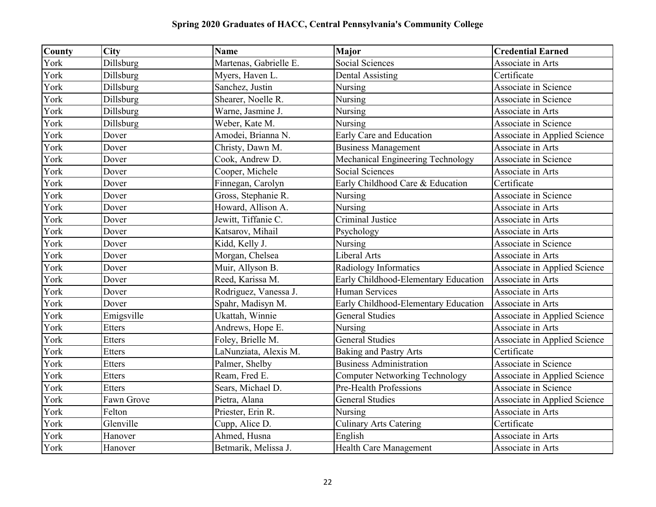| County | <b>City</b>   | <b>Name</b>            | Major                                 | <b>Credential Earned</b>     |
|--------|---------------|------------------------|---------------------------------------|------------------------------|
| York   | Dillsburg     | Martenas, Gabrielle E. | Social Sciences                       | Associate in Arts            |
| York   | Dillsburg     | Myers, Haven L.        | Dental Assisting                      | Certificate                  |
| York   | Dillsburg     | Sanchez, Justin        | Nursing                               | Associate in Science         |
| York   | Dillsburg     | Shearer, Noelle R.     | Nursing                               | Associate in Science         |
| York   | Dillsburg     | Warne, Jasmine J.      | Nursing                               | Associate in Arts            |
| York   | Dillsburg     | Weber, Kate M.         | Nursing                               | Associate in Science         |
| York   | Dover         | Amodei, Brianna N.     | Early Care and Education              | Associate in Applied Science |
| York   | Dover         | Christy, Dawn M.       | <b>Business Management</b>            | Associate in Arts            |
| York   | Dover         | Cook, Andrew D.        | Mechanical Engineering Technology     | Associate in Science         |
| York   | Dover         | Cooper, Michele        | Social Sciences                       | Associate in Arts            |
| York   | Dover         | Finnegan, Carolyn      | Early Childhood Care & Education      | Certificate                  |
| York   | Dover         | Gross, Stephanie R.    | Nursing                               | Associate in Science         |
| York   | Dover         | Howard, Allison A.     | Nursing                               | Associate in Arts            |
| York   | Dover         | Jewitt, Tiffanie C.    | Criminal Justice                      | Associate in Arts            |
| York   | Dover         | Katsarov, Mihail       | Psychology                            | Associate in Arts            |
| York   | Dover         | Kidd, Kelly J.         | Nursing                               | Associate in Science         |
| York   | Dover         | Morgan, Chelsea        | Liberal Arts                          | Associate in Arts            |
| York   | Dover         | Muir, Allyson B.       | Radiology Informatics                 | Associate in Applied Science |
| York   | Dover         | Reed, Karissa M.       | Early Childhood-Elementary Education  | Associate in Arts            |
| York   | Dover         | Rodriguez, Vanessa J.  | <b>Human Services</b>                 | Associate in Arts            |
| York   | Dover         | Spahr, Madisyn M.      | Early Childhood-Elementary Education  | Associate in Arts            |
| York   | Emigsville    | Ukattah, Winnie        | <b>General Studies</b>                | Associate in Applied Science |
| York   | Etters        | Andrews, Hope E.       | Nursing                               | Associate in Arts            |
| York   | <b>Etters</b> | Foley, Brielle M.      | <b>General Studies</b>                | Associate in Applied Science |
| York   | <b>Etters</b> | LaNunziata, Alexis M.  | <b>Baking and Pastry Arts</b>         | Certificate                  |
| York   | Etters        | Palmer, Shelby         | <b>Business Administration</b>        | Associate in Science         |
| York   | <b>Etters</b> | Ream, Fred E.          | <b>Computer Networking Technology</b> | Associate in Applied Science |
| York   | <b>Etters</b> | Sears, Michael D.      | Pre-Health Professions                | Associate in Science         |
| York   | Fawn Grove    | Pietra, Alana          | <b>General Studies</b>                | Associate in Applied Science |
| York   | Felton        | Priester, Erin R.      | Nursing                               | Associate in Arts            |
| York   | Glenville     | Cupp, Alice D.         | <b>Culinary Arts Catering</b>         | Certificate                  |
| York   | Hanover       | Ahmed, Husna           | English                               | Associate in Arts            |
| York   | Hanover       | Betmarik, Melissa J.   | <b>Health Care Management</b>         | Associate in Arts            |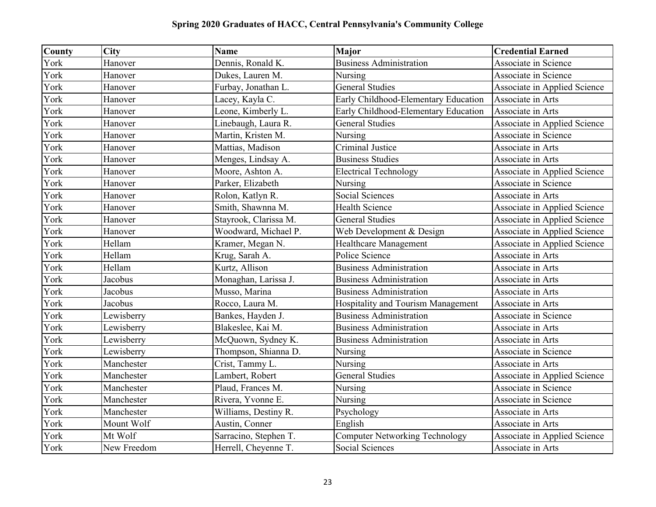| County | <b>City</b> | <b>Name</b>           | <b>Major</b>                          | <b>Credential Earned</b>     |
|--------|-------------|-----------------------|---------------------------------------|------------------------------|
| York   | Hanover     | Dennis, Ronald K.     | Business Administration               | Associate in Science         |
| York   | Hanover     | Dukes, Lauren M.      | Nursing                               | Associate in Science         |
| York   | Hanover     | Furbay, Jonathan L.   | <b>General Studies</b>                | Associate in Applied Science |
| York   | Hanover     | Lacey, Kayla C.       | Early Childhood-Elementary Education  | Associate in Arts            |
| York   | Hanover     | Leone, Kimberly L.    | Early Childhood-Elementary Education  | Associate in Arts            |
| York   | Hanover     | Linebaugh, Laura R.   | <b>General Studies</b>                | Associate in Applied Science |
| York   | Hanover     | Martin, Kristen M.    | Nursing                               | Associate in Science         |
| York   | Hanover     | Mattias, Madison      | Criminal Justice                      | Associate in Arts            |
| York   | Hanover     | Menges, Lindsay A.    | Business Studies                      | Associate in Arts            |
| York   | Hanover     | Moore, Ashton A.      | <b>Electrical Technology</b>          | Associate in Applied Science |
| York   | Hanover     | Parker, Elizabeth     | Nursing                               | Associate in Science         |
| York   | Hanover     | Rolon, Katlyn R.      | Social Sciences                       | Associate in Arts            |
| York   | Hanover     | Smith, Shawnna M.     | <b>Health Science</b>                 | Associate in Applied Science |
| York   | Hanover     | Stayrook, Clarissa M. | <b>General Studies</b>                | Associate in Applied Science |
| York   | Hanover     | Woodward, Michael P.  | Web Development & Design              | Associate in Applied Science |
| York   | Hellam      | Kramer, Megan N.      | Healthcare Management                 | Associate in Applied Science |
| York   | Hellam      | Krug, Sarah A.        | Police Science                        | Associate in Arts            |
| York   | Hellam      | Kurtz, Allison        | <b>Business Administration</b>        | Associate in Arts            |
| York   | Jacobus     | Monaghan, Larissa J.  | <b>Business Administration</b>        | Associate in Arts            |
| York   | Jacobus     | Musso, Marina         | <b>Business Administration</b>        | Associate in Arts            |
| York   | Jacobus     | Rocco, Laura M.       | Hospitality and Tourism Management    | Associate in Arts            |
| York   | Lewisberry  | Bankes, Hayden J.     | <b>Business Administration</b>        | Associate in Science         |
| York   | Lewisberry  | Blakeslee, Kai M.     | <b>Business Administration</b>        | Associate in Arts            |
| York   | Lewisberry  | McQuown, Sydney K.    | <b>Business Administration</b>        | Associate in Arts            |
| York   | Lewisberry  | Thompson, Shianna D.  | Nursing                               | Associate in Science         |
| York   | Manchester  | Crist, Tammy L.       | Nursing                               | Associate in Arts            |
| York   | Manchester  | Lambert, Robert       | <b>General Studies</b>                | Associate in Applied Science |
| York   | Manchester  | Plaud, Frances M.     | Nursing                               | Associate in Science         |
| York   | Manchester  | Rivera, Yvonne E.     | Nursing                               | Associate in Science         |
| York   | Manchester  | Williams, Destiny R.  | Psychology                            | Associate in Arts            |
| York   | Mount Wolf  | Austin, Conner        | English                               | Associate in Arts            |
| York   | Mt Wolf     | Sarracino, Stephen T. | <b>Computer Networking Technology</b> | Associate in Applied Science |
| York   | New Freedom | Herrell, Cheyenne T.  | Social Sciences                       | Associate in Arts            |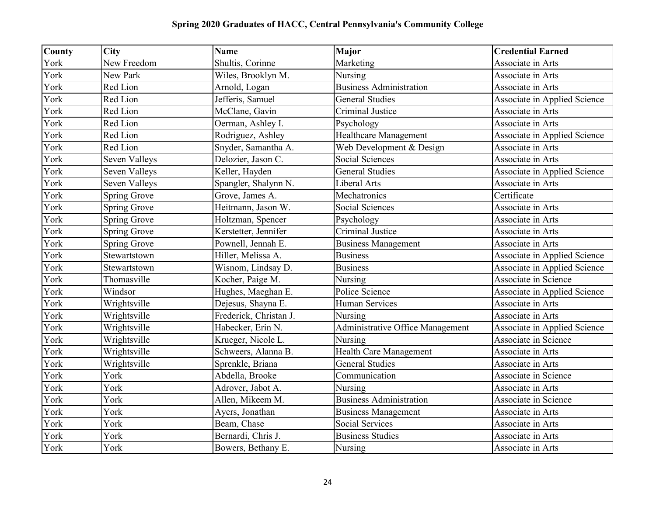| County | <b>City</b>         | <b>Name</b>            | <b>Major</b>                     | <b>Credential Earned</b>     |
|--------|---------------------|------------------------|----------------------------------|------------------------------|
| York   | New Freedom         | Shultis, Corinne       | Marketing                        | Associate in Arts            |
| York   | New Park            | Wiles, Brooklyn M.     | Nursing                          | Associate in Arts            |
| York   | Red Lion            | Arnold, Logan          | <b>Business Administration</b>   | Associate in Arts            |
| York   | Red Lion            | Jefferis, Samuel       | <b>General Studies</b>           | Associate in Applied Science |
| York   | Red Lion            | McClane, Gavin         | Criminal Justice                 | Associate in Arts            |
| York   | Red Lion            | Oerman, Ashley I.      | Psychology                       | Associate in Arts            |
| York   | Red Lion            | Rodriguez, Ashley      | Healthcare Management            | Associate in Applied Science |
| York   | Red Lion            | Snyder, Samantha A.    | Web Development & Design         | Associate in Arts            |
| York   | Seven Valleys       | Delozier, Jason C.     | Social Sciences                  | Associate in Arts            |
| York   | Seven Valleys       | Keller, Hayden         | <b>General Studies</b>           | Associate in Applied Science |
| York   | Seven Valleys       | Spangler, Shalynn N.   | Liberal Arts                     | Associate in Arts            |
| York   | Spring Grove        | Grove, James A.        | Mechatronics                     | Certificate                  |
| York   | <b>Spring Grove</b> | Heitmann, Jason W.     | Social Sciences                  | Associate in Arts            |
| York   | <b>Spring Grove</b> | Holtzman, Spencer      | Psychology                       | Associate in Arts            |
| York   | Spring Grove        | Kerstetter, Jennifer   | Criminal Justice                 | Associate in Arts            |
| York   | Spring Grove        | Pownell, Jennah E.     | <b>Business Management</b>       | Associate in Arts            |
| York   | Stewartstown        | Hiller, Melissa A.     | <b>Business</b>                  | Associate in Applied Science |
| York   | Stewartstown        | Wisnom, Lindsay D.     | <b>Business</b>                  | Associate in Applied Science |
| York   | Thomasville         | Kocher, Paige M.       | Nursing                          | Associate in Science         |
| York   | Windsor             | Hughes, Maeghan E.     | Police Science                   | Associate in Applied Science |
| York   | Wrightsville        | Dejesus, Shayna E.     | <b>Human Services</b>            | Associate in Arts            |
| York   | Wrightsville        | Frederick, Christan J. | Nursing                          | Associate in Arts            |
| York   | Wrightsville        | Habecker, Erin N.      | Administrative Office Management | Associate in Applied Science |
| York   | Wrightsville        | Krueger, Nicole L.     | Nursing                          | Associate in Science         |
| York   | Wrightsville        | Schweers, Alanna B.    | <b>Health Care Management</b>    | Associate in Arts            |
| York   | Wrightsville        | Sprenkle, Briana       | <b>General Studies</b>           | Associate in Arts            |
| York   | York                | Abdella, Brooke        | Communication                    | <b>Associate in Science</b>  |
| York   | York                | Adrover, Jabot A.      | Nursing                          | Associate in Arts            |
| York   | York                | Allen, Mikeem M.       | <b>Business Administration</b>   | Associate in Science         |
| York   | York                | Ayers, Jonathan        | <b>Business Management</b>       | Associate in Arts            |
| York   | York                | Beam, Chase            | <b>Social Services</b>           | Associate in Arts            |
| York   | York                | Bernardi, Chris J.     | <b>Business Studies</b>          | Associate in Arts            |
| York   | York                | Bowers, Bethany E.     | Nursing                          | Associate in Arts            |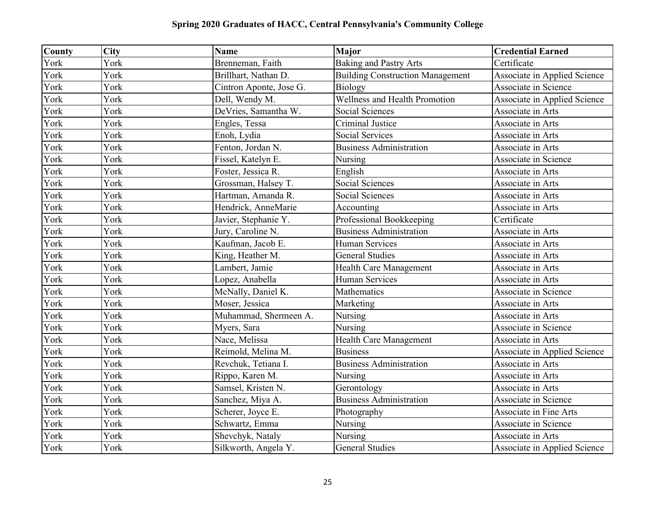| <b>County</b>            | <b>City</b> | <b>Name</b>             | Major                                   | <b>Credential Earned</b>            |
|--------------------------|-------------|-------------------------|-----------------------------------------|-------------------------------------|
| York                     | York        | Brenneman, Faith        | Baking and Pastry Arts                  | Certificate                         |
| York                     | York        | Brillhart, Nathan D.    | <b>Building Construction Management</b> | Associate in Applied Science        |
| York                     | York        | Cintron Aponte, Jose G. | <b>Biology</b>                          | Associate in Science                |
| York                     | York        | Dell, Wendy M.          | <b>Wellness and Health Promotion</b>    | Associate in Applied Science        |
| York                     | York        | DeVries, Samantha W.    | <b>Social Sciences</b>                  | Associate in Arts                   |
| York                     | York        | Engles, Tessa           | Criminal Justice                        | Associate in Arts                   |
| York                     | York        | Enoh, Lydia             | Social Services                         | Associate in Arts                   |
| York                     | York        | Fenton, Jordan N.       | <b>Business Administration</b>          | Associate in Arts                   |
| York                     | York        | Fissel, Katelyn E.      | Nursing                                 | Associate in Science                |
| York                     | York        | Foster, Jessica R.      | English                                 | Associate in Arts                   |
| York                     | York        | Grossman, Halsey T.     | Social Sciences                         | Associate in Arts                   |
| York                     | York        | Hartman, Amanda R.      | Social Sciences                         | Associate in Arts                   |
| York                     | York        | Hendrick, AnneMarie     | Accounting                              | Associate in Arts                   |
| York                     | York        | Javier, Stephanie Y.    | Professional Bookkeeping                | Certificate                         |
| York                     | York        | Jury, Caroline N.       | <b>Business Administration</b>          | Associate in Arts                   |
| York                     | York        | Kaufman, Jacob E.       | <b>Human Services</b>                   | Associate in Arts                   |
| York                     | York        | King, Heather M.        | <b>General Studies</b>                  | Associate in Arts                   |
| York                     | York        | Lambert, Jamie          | Health Care Management                  | Associate in Arts                   |
| $\overline{\text{York}}$ | York        | Lopez, Anabella         | <b>Human Services</b>                   | Associate in Arts                   |
| York                     | York        | McNally, Daniel K.      | Mathematics                             | <b>Associate in Science</b>         |
| York                     | York        | Moser, Jessica          | Marketing                               | Associate in Arts                   |
| York                     | York        | Muhammad, Shermeen A.   | Nursing                                 | Associate in Arts                   |
| York                     | York        | Myers, Sara             | Nursing                                 | Associate in Science                |
| York                     | York        | Nace, Melissa           | Health Care Management                  | Associate in Arts                   |
| York                     | York        | Reimold, Melina M.      | <b>Business</b>                         | <b>Associate in Applied Science</b> |
| York                     | York        | Revchuk, Tetiana I.     | <b>Business Administration</b>          | Associate in Arts                   |
| York                     | York        | Rippo, Karen M.         | Nursing                                 | Associate in Arts                   |
| York                     | York        | Samsel, Kristen N.      | Gerontology                             | Associate in Arts                   |
| York                     | York        | Sanchez, Miya A.        | <b>Business Administration</b>          | Associate in Science                |
| York                     | York        | Scherer, Joyce E.       | Photography                             | <b>Associate in Fine Arts</b>       |
| York                     | York        | Schwartz, Emma          | Nursing                                 | Associate in Science                |
| York                     | York        | Shevchyk, Nataly        | Nursing                                 | Associate in Arts                   |
| York                     | York        | Silkworth, Angela Y.    | <b>General Studies</b>                  | Associate in Applied Science        |